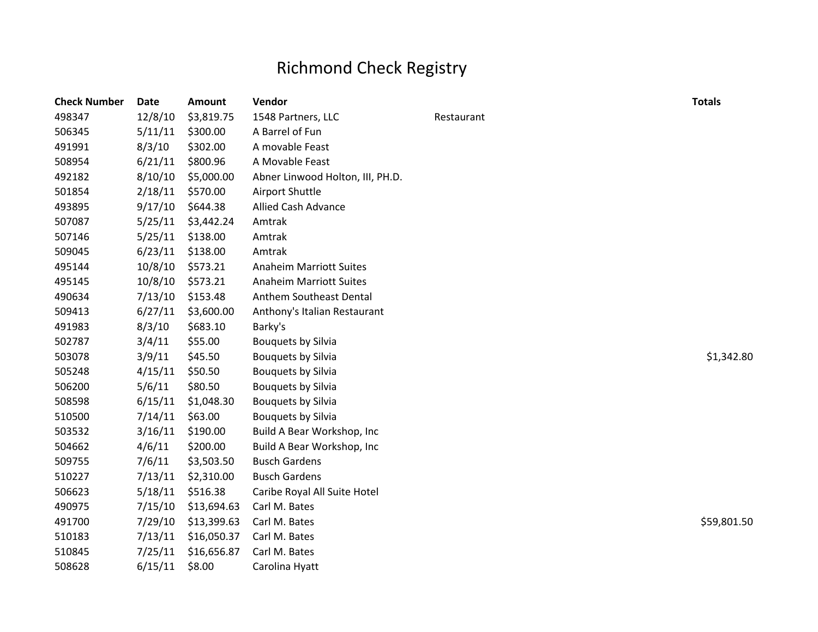## Richmond Check Registry

| <b>Check Number</b> | <b>Date</b> | <b>Amount</b> | Vendor                           |            | <b>Totals</b> |
|---------------------|-------------|---------------|----------------------------------|------------|---------------|
| 498347              | 12/8/10     | \$3,819.75    | 1548 Partners, LLC               | Restaurant |               |
| 506345              | 5/11/11     | \$300.00      | A Barrel of Fun                  |            |               |
| 491991              | 8/3/10      | \$302.00      | A movable Feast                  |            |               |
| 508954              | 6/21/11     | \$800.96      | A Movable Feast                  |            |               |
| 492182              | 8/10/10     | \$5,000.00    | Abner Linwood Holton, III, PH.D. |            |               |
| 501854              | 2/18/11     | \$570.00      | Airport Shuttle                  |            |               |
| 493895              | 9/17/10     | \$644.38      | Allied Cash Advance              |            |               |
| 507087              | 5/25/11     | \$3,442.24    | Amtrak                           |            |               |
| 507146              | 5/25/11     | \$138.00      | Amtrak                           |            |               |
| 509045              | 6/23/11     | \$138.00      | Amtrak                           |            |               |
| 495144              | 10/8/10     | \$573.21      | <b>Anaheim Marriott Suites</b>   |            |               |
| 495145              | 10/8/10     | \$573.21      | <b>Anaheim Marriott Suites</b>   |            |               |
| 490634              | 7/13/10     | \$153.48      | Anthem Southeast Dental          |            |               |
| 509413              | 6/27/11     | \$3,600.00    | Anthony's Italian Restaurant     |            |               |
| 491983              | 8/3/10      | \$683.10      | Barky's                          |            |               |
| 502787              | 3/4/11      | \$55.00       | Bouquets by Silvia               |            |               |
| 503078              | 3/9/11      | \$45.50       | Bouquets by Silvia               |            | \$1,342.80    |
| 505248              | 4/15/11     | \$50.50       | Bouquets by Silvia               |            |               |
| 506200              | 5/6/11      | \$80.50       | Bouquets by Silvia               |            |               |
| 508598              | 6/15/11     | \$1,048.30    | <b>Bouquets by Silvia</b>        |            |               |
| 510500              | 7/14/11     | \$63.00       | <b>Bouquets by Silvia</b>        |            |               |
| 503532              | 3/16/11     | \$190.00      | Build A Bear Workshop, Inc       |            |               |
| 504662              | 4/6/11      | \$200.00      | Build A Bear Workshop, Inc       |            |               |
| 509755              | 7/6/11      | \$3,503.50    | <b>Busch Gardens</b>             |            |               |
| 510227              | 7/13/11     | \$2,310.00    | <b>Busch Gardens</b>             |            |               |
| 506623              | 5/18/11     | \$516.38      | Caribe Royal All Suite Hotel     |            |               |
| 490975              | 7/15/10     | \$13,694.63   | Carl M. Bates                    |            |               |
| 491700              | 7/29/10     | \$13,399.63   | Carl M. Bates                    |            | \$59,801.50   |
| 510183              | 7/13/11     | \$16,050.37   | Carl M. Bates                    |            |               |
| 510845              | 7/25/11     | \$16,656.87   | Carl M. Bates                    |            |               |
| 508628              | 6/15/11     | \$8.00        | Carolina Hyatt                   |            |               |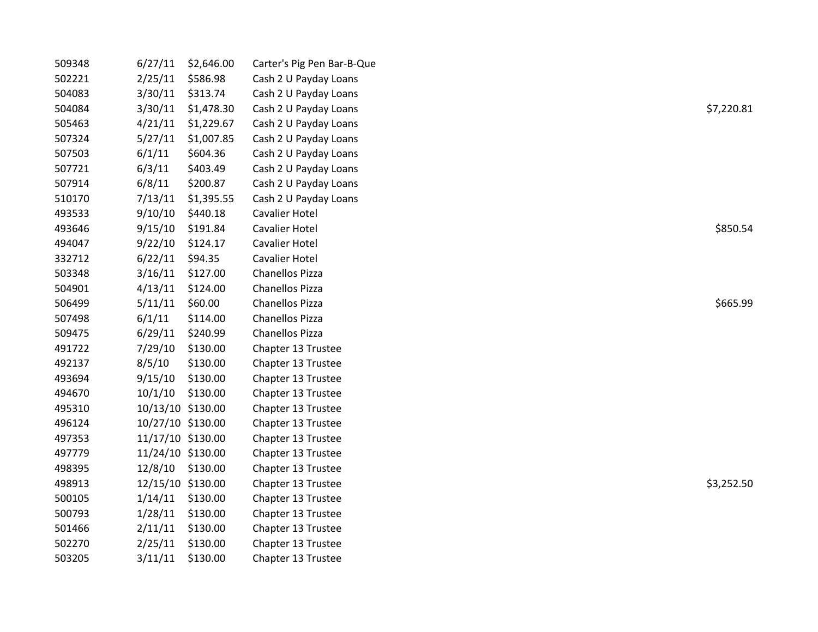| 509348 | 6/27/11           | \$2,646.00 | Carter's Pig Pen Bar-B-Que |            |
|--------|-------------------|------------|----------------------------|------------|
| 502221 | 2/25/11           | \$586.98   | Cash 2 U Payday Loans      |            |
| 504083 | 3/30/11           | \$313.74   | Cash 2 U Payday Loans      |            |
| 504084 | 3/30/11           | \$1,478.30 | Cash 2 U Payday Loans      | \$7,220.81 |
| 505463 | 4/21/11           | \$1,229.67 | Cash 2 U Payday Loans      |            |
| 507324 | 5/27/11           | \$1,007.85 | Cash 2 U Payday Loans      |            |
| 507503 | 6/1/11            | \$604.36   | Cash 2 U Payday Loans      |            |
| 507721 | 6/3/11            | \$403.49   | Cash 2 U Payday Loans      |            |
| 507914 | 6/8/11            | \$200.87   | Cash 2 U Payday Loans      |            |
| 510170 | 7/13/11           | \$1,395.55 | Cash 2 U Payday Loans      |            |
| 493533 | 9/10/10           | \$440.18   | Cavalier Hotel             |            |
| 493646 | 9/15/10           | \$191.84   | <b>Cavalier Hotel</b>      | \$850.54   |
| 494047 | 9/22/10           | \$124.17   | Cavalier Hotel             |            |
| 332712 | 6/22/11           | \$94.35    | <b>Cavalier Hotel</b>      |            |
| 503348 | 3/16/11           | \$127.00   | Chanellos Pizza            |            |
| 504901 | 4/13/11           | \$124.00   | Chanellos Pizza            |            |
| 506499 | 5/11/11           | \$60.00    | Chanellos Pizza            | \$665.99   |
| 507498 | 6/1/11            | \$114.00   | Chanellos Pizza            |            |
| 509475 | 6/29/11           | \$240.99   | Chanellos Pizza            |            |
| 491722 | 7/29/10           | \$130.00   | Chapter 13 Trustee         |            |
| 492137 | 8/5/10            | \$130.00   | Chapter 13 Trustee         |            |
| 493694 | 9/15/10           | \$130.00   | Chapter 13 Trustee         |            |
| 494670 | 10/1/10           | \$130.00   | Chapter 13 Trustee         |            |
| 495310 | 10/13/10 \$130.00 |            | Chapter 13 Trustee         |            |
| 496124 | 10/27/10 \$130.00 |            | Chapter 13 Trustee         |            |
| 497353 | 11/17/10 \$130.00 |            | Chapter 13 Trustee         |            |
| 497779 | 11/24/10 \$130.00 |            | Chapter 13 Trustee         |            |
| 498395 | 12/8/10           | \$130.00   | Chapter 13 Trustee         |            |
| 498913 | 12/15/10 \$130.00 |            | Chapter 13 Trustee         | \$3,252.50 |
| 500105 | 1/14/11 \$130.00  |            | Chapter 13 Trustee         |            |
| 500793 | 1/28/11           | \$130.00   | Chapter 13 Trustee         |            |
| 501466 | 2/11/11           | \$130.00   | Chapter 13 Trustee         |            |
| 502270 | 2/25/11           | \$130.00   | Chapter 13 Trustee         |            |
| 503205 | 3/11/11           | \$130.00   | Chapter 13 Trustee         |            |
|        |                   |            |                            |            |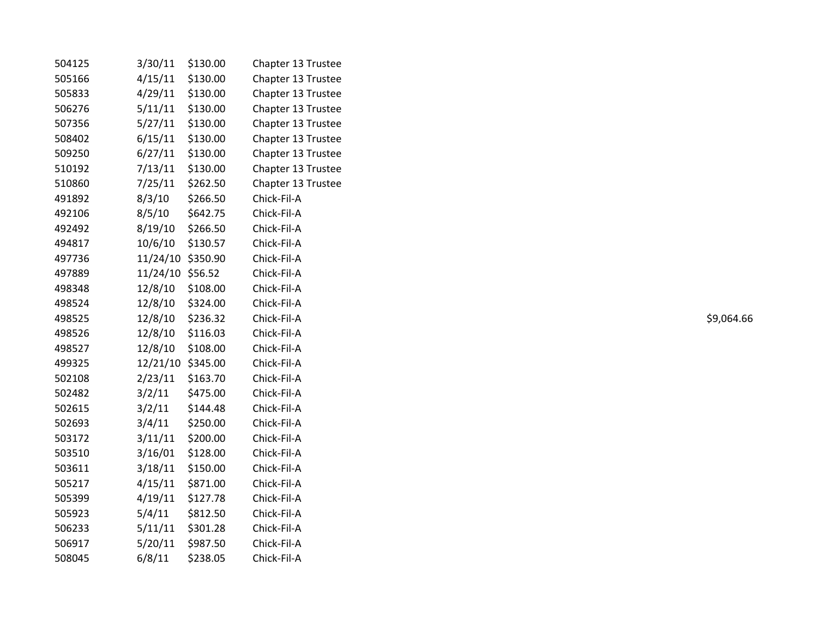| 504125 | 3/30/11           | \$130.00 | Chapter 13 Trustee |            |
|--------|-------------------|----------|--------------------|------------|
| 505166 | 4/15/11           | \$130.00 | Chapter 13 Trustee |            |
| 505833 | 4/29/11           | \$130.00 | Chapter 13 Trustee |            |
| 506276 | 5/11/11           | \$130.00 | Chapter 13 Trustee |            |
| 507356 | 5/27/11           | \$130.00 | Chapter 13 Trustee |            |
| 508402 | 6/15/11           | \$130.00 | Chapter 13 Trustee |            |
| 509250 | 6/27/11           | \$130.00 | Chapter 13 Trustee |            |
| 510192 | 7/13/11           | \$130.00 | Chapter 13 Trustee |            |
| 510860 | 7/25/11           | \$262.50 | Chapter 13 Trustee |            |
| 491892 | 8/3/10            | \$266.50 | Chick-Fil-A        |            |
| 492106 | 8/5/10            | \$642.75 | Chick-Fil-A        |            |
| 492492 | 8/19/10           | \$266.50 | Chick-Fil-A        |            |
| 494817 | 10/6/10           | \$130.57 | Chick-Fil-A        |            |
| 497736 | 11/24/10 \$350.90 |          | Chick-Fil-A        |            |
| 497889 | 11/24/10 \$56.52  |          | Chick-Fil-A        |            |
| 498348 | 12/8/10           | \$108.00 | Chick-Fil-A        |            |
| 498524 | 12/8/10           | \$324.00 | Chick-Fil-A        |            |
| 498525 | 12/8/10           | \$236.32 | Chick-Fil-A        | \$9,064.66 |
| 498526 | 12/8/10           | \$116.03 | Chick-Fil-A        |            |
| 498527 | 12/8/10           | \$108.00 | Chick-Fil-A        |            |
| 499325 | 12/21/10 \$345.00 |          | Chick-Fil-A        |            |
| 502108 | 2/23/11           | \$163.70 | Chick-Fil-A        |            |
| 502482 | 3/2/11            | \$475.00 | Chick-Fil-A        |            |
| 502615 | 3/2/11            | \$144.48 | Chick-Fil-A        |            |
| 502693 | 3/4/11            | \$250.00 | Chick-Fil-A        |            |
| 503172 | 3/11/11           | \$200.00 | Chick-Fil-A        |            |
| 503510 | 3/16/01           | \$128.00 | Chick-Fil-A        |            |
| 503611 | 3/18/11           | \$150.00 | Chick-Fil-A        |            |
| 505217 | 4/15/11           | \$871.00 | Chick-Fil-A        |            |
| 505399 | 4/19/11           | \$127.78 | Chick-Fil-A        |            |
| 505923 | 5/4/11            | \$812.50 | Chick-Fil-A        |            |
| 506233 | 5/11/11           | \$301.28 | Chick-Fil-A        |            |
| 506917 | 5/20/11           | \$987.50 | Chick-Fil-A        |            |
| 508045 | 6/8/11            | \$238.05 | Chick-Fil-A        |            |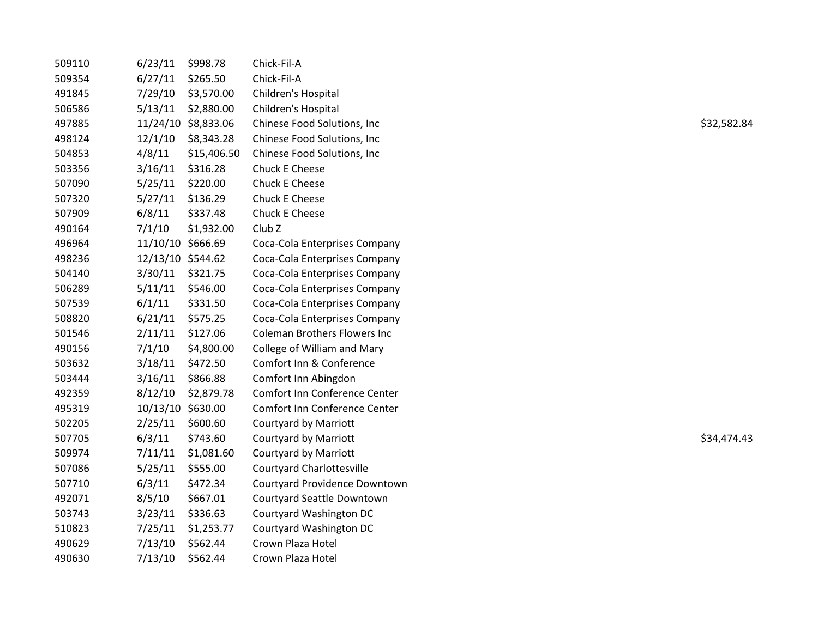| 509110 | 6/23/11           | \$998.78            | Chick-Fil-A                         |             |
|--------|-------------------|---------------------|-------------------------------------|-------------|
| 509354 | 6/27/11           | \$265.50            | Chick-Fil-A                         |             |
| 491845 | 7/29/10           | \$3,570.00          | Children's Hospital                 |             |
| 506586 | 5/13/11           | \$2,880.00          | Children's Hospital                 |             |
| 497885 |                   | 11/24/10 \$8,833.06 | Chinese Food Solutions, Inc         | \$32,582.84 |
| 498124 | 12/1/10           | \$8,343.28          | Chinese Food Solutions, Inc         |             |
| 504853 | 4/8/11            | \$15,406.50         | Chinese Food Solutions, Inc.        |             |
| 503356 | 3/16/11           | \$316.28            | Chuck E Cheese                      |             |
| 507090 | 5/25/11           | \$220.00            | Chuck E Cheese                      |             |
| 507320 | 5/27/11           | \$136.29            | Chuck E Cheese                      |             |
| 507909 | 6/8/11            | \$337.48            | Chuck E Cheese                      |             |
| 490164 | 7/1/10            | \$1,932.00          | Club <sub>Z</sub>                   |             |
| 496964 | 11/10/10 \$666.69 |                     | Coca-Cola Enterprises Company       |             |
| 498236 | 12/13/10 \$544.62 |                     | Coca-Cola Enterprises Company       |             |
| 504140 | 3/30/11           | \$321.75            | Coca-Cola Enterprises Company       |             |
| 506289 | 5/11/11           | \$546.00            | Coca-Cola Enterprises Company       |             |
| 507539 | 6/1/11            | \$331.50            | Coca-Cola Enterprises Company       |             |
| 508820 | 6/21/11           | \$575.25            | Coca-Cola Enterprises Company       |             |
| 501546 | 2/11/11           | \$127.06            | <b>Coleman Brothers Flowers Inc</b> |             |
| 490156 | 7/1/10            | \$4,800.00          | College of William and Mary         |             |
| 503632 | 3/18/11           | \$472.50            | Comfort Inn & Conference            |             |
| 503444 | 3/16/11           | \$866.88            | Comfort Inn Abingdon                |             |
| 492359 | 8/12/10           | \$2,879.78          | Comfort Inn Conference Center       |             |
| 495319 | 10/13/10 \$630.00 |                     | Comfort Inn Conference Center       |             |
| 502205 | 2/25/11           | \$600.60            | Courtyard by Marriott               |             |
| 507705 | 6/3/11            | \$743.60            | <b>Courtyard by Marriott</b>        | \$34,474.43 |
| 509974 | 7/11/11           | \$1,081.60          | <b>Courtyard by Marriott</b>        |             |
| 507086 | 5/25/11           | \$555.00            | <b>Courtyard Charlottesville</b>    |             |
| 507710 | 6/3/11            | \$472.34            | Courtyard Providence Downtown       |             |
| 492071 | 8/5/10            | \$667.01            | Courtyard Seattle Downtown          |             |
| 503743 | 3/23/11           | \$336.63            | Courtyard Washington DC             |             |
| 510823 | 7/25/11           | \$1,253.77          | Courtyard Washington DC             |             |
| 490629 | 7/13/10           | \$562.44            | Crown Plaza Hotel                   |             |
| 490630 | 7/13/10           | \$562.44            | Crown Plaza Hotel                   |             |
|        |                   |                     |                                     |             |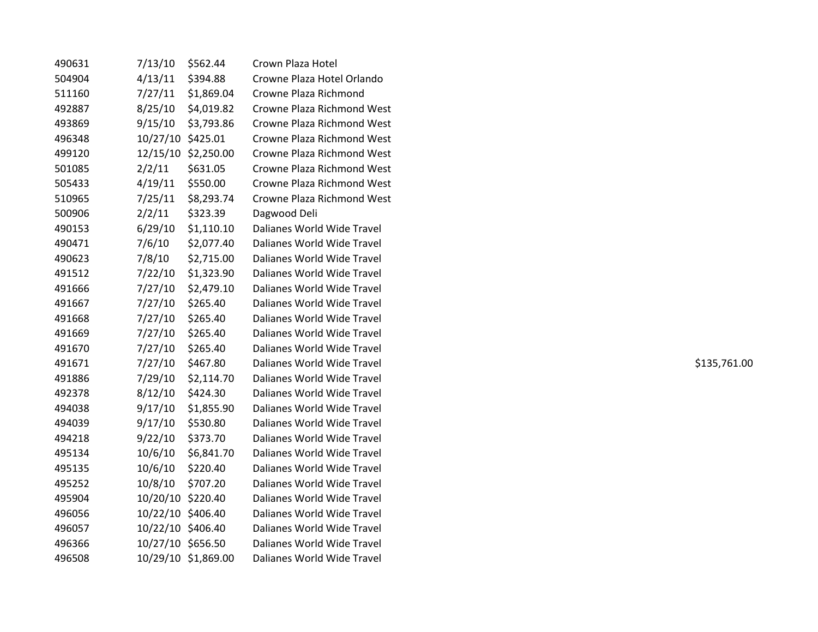| 490631 | 7/13/10           | \$562.44            | Crown Plaza Hotel          |              |
|--------|-------------------|---------------------|----------------------------|--------------|
| 504904 | 4/13/11           | \$394.88            | Crowne Plaza Hotel Orlando |              |
| 511160 | 7/27/11           | \$1,869.04          | Crowne Plaza Richmond      |              |
| 492887 | 8/25/10           | \$4,019.82          | Crowne Plaza Richmond West |              |
| 493869 | 9/15/10           | \$3,793.86          | Crowne Plaza Richmond West |              |
| 496348 | 10/27/10 \$425.01 |                     | Crowne Plaza Richmond West |              |
| 499120 |                   | 12/15/10 \$2,250.00 | Crowne Plaza Richmond West |              |
| 501085 | 2/2/11            | \$631.05            | Crowne Plaza Richmond West |              |
| 505433 | 4/19/11           | \$550.00            | Crowne Plaza Richmond West |              |
| 510965 | 7/25/11           | \$8,293.74          | Crowne Plaza Richmond West |              |
| 500906 | 2/2/11            | \$323.39            | Dagwood Deli               |              |
| 490153 | 6/29/10           | \$1,110.10          | Dalianes World Wide Travel |              |
| 490471 | 7/6/10            | \$2,077.40          | Dalianes World Wide Travel |              |
| 490623 | 7/8/10            | \$2,715.00          | Dalianes World Wide Travel |              |
| 491512 | 7/22/10           | \$1,323.90          | Dalianes World Wide Travel |              |
| 491666 | 7/27/10           | \$2,479.10          | Dalianes World Wide Travel |              |
| 491667 | 7/27/10           | \$265.40            | Dalianes World Wide Travel |              |
| 491668 | 7/27/10           | \$265.40            | Dalianes World Wide Travel |              |
| 491669 | 7/27/10           | \$265.40            | Dalianes World Wide Travel |              |
| 491670 | 7/27/10           | \$265.40            | Dalianes World Wide Travel |              |
| 491671 | 7/27/10           | \$467.80            | Dalianes World Wide Travel | \$135,761.00 |
| 491886 | 7/29/10           | \$2,114.70          | Dalianes World Wide Travel |              |
| 492378 | 8/12/10           | \$424.30            | Dalianes World Wide Travel |              |
| 494038 | 9/17/10           | \$1,855.90          | Dalianes World Wide Travel |              |
| 494039 | 9/17/10           | \$530.80            | Dalianes World Wide Travel |              |
| 494218 | 9/22/10           | \$373.70            | Dalianes World Wide Travel |              |
| 495134 | 10/6/10           | \$6,841.70          | Dalianes World Wide Travel |              |
| 495135 | 10/6/10           | \$220.40            | Dalianes World Wide Travel |              |
| 495252 | 10/8/10           | \$707.20            | Dalianes World Wide Travel |              |
| 495904 | 10/20/10 \$220.40 |                     | Dalianes World Wide Travel |              |
| 496056 | 10/22/10 \$406.40 |                     | Dalianes World Wide Travel |              |
| 496057 | 10/22/10 \$406.40 |                     | Dalianes World Wide Travel |              |
| 496366 | 10/27/10 \$656.50 |                     | Dalianes World Wide Travel |              |
| 496508 |                   | 10/29/10 \$1,869.00 | Dalianes World Wide Travel |              |
|        |                   |                     |                            |              |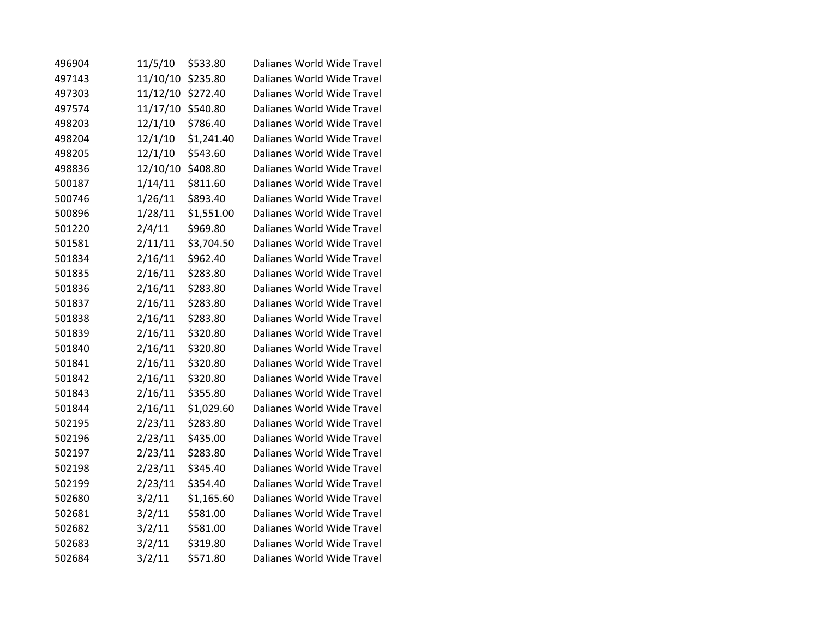| 496904 | 11/5/10  | \$533.80   | Dalianes World Wide Travel |
|--------|----------|------------|----------------------------|
| 497143 | 11/10/10 | \$235.80   | Dalianes World Wide Travel |
| 497303 | 11/12/10 | \$272.40   | Dalianes World Wide Travel |
| 497574 | 11/17/10 | \$540.80   | Dalianes World Wide Travel |
| 498203 | 12/1/10  | \$786.40   | Dalianes World Wide Travel |
| 498204 | 12/1/10  | \$1,241.40 | Dalianes World Wide Travel |
| 498205 | 12/1/10  | \$543.60   | Dalianes World Wide Travel |
| 498836 | 12/10/10 | \$408.80   | Dalianes World Wide Travel |
| 500187 | 1/14/11  | \$811.60   | Dalianes World Wide Travel |
| 500746 | 1/26/11  | \$893.40   | Dalianes World Wide Travel |
| 500896 | 1/28/11  | \$1,551.00 | Dalianes World Wide Travel |
| 501220 | 2/4/11   | \$969.80   | Dalianes World Wide Travel |
| 501581 | 2/11/11  | \$3,704.50 | Dalianes World Wide Travel |
| 501834 | 2/16/11  | \$962.40   | Dalianes World Wide Travel |
| 501835 | 2/16/11  | \$283.80   | Dalianes World Wide Travel |
| 501836 | 2/16/11  | \$283.80   | Dalianes World Wide Travel |
| 501837 | 2/16/11  | \$283.80   | Dalianes World Wide Travel |
| 501838 | 2/16/11  | \$283.80   | Dalianes World Wide Travel |
| 501839 | 2/16/11  | \$320.80   | Dalianes World Wide Travel |
| 501840 | 2/16/11  | \$320.80   | Dalianes World Wide Travel |
| 501841 | 2/16/11  | \$320.80   | Dalianes World Wide Travel |
| 501842 | 2/16/11  | \$320.80   | Dalianes World Wide Travel |
| 501843 | 2/16/11  | \$355.80   | Dalianes World Wide Travel |
| 501844 | 2/16/11  | \$1,029.60 | Dalianes World Wide Travel |
| 502195 | 2/23/11  | \$283.80   | Dalianes World Wide Travel |
| 502196 | 2/23/11  | \$435.00   | Dalianes World Wide Travel |
| 502197 | 2/23/11  | \$283.80   | Dalianes World Wide Travel |
| 502198 | 2/23/11  | \$345.40   | Dalianes World Wide Travel |
| 502199 | 2/23/11  | \$354.40   | Dalianes World Wide Travel |
| 502680 | 3/2/11   | \$1,165.60 | Dalianes World Wide Travel |
| 502681 | 3/2/11   | \$581.00   | Dalianes World Wide Travel |
| 502682 | 3/2/11   | \$581.00   | Dalianes World Wide Travel |
| 502683 | 3/2/11   | \$319.80   | Dalianes World Wide Travel |
| 502684 | 3/2/11   | \$571.80   | Dalianes World Wide Travel |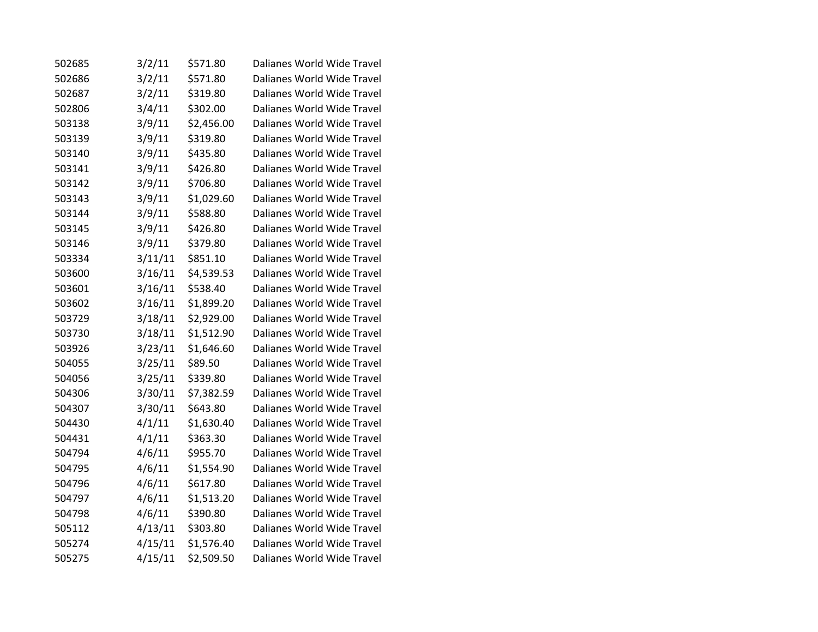| 502685 | 3/2/11  | \$571.80   | Dalianes World Wide Travel |
|--------|---------|------------|----------------------------|
| 502686 | 3/2/11  | \$571.80   | Dalianes World Wide Travel |
| 502687 | 3/2/11  | \$319.80   | Dalianes World Wide Travel |
| 502806 | 3/4/11  | \$302.00   | Dalianes World Wide Travel |
| 503138 | 3/9/11  | \$2,456.00 | Dalianes World Wide Travel |
| 503139 | 3/9/11  | \$319.80   | Dalianes World Wide Travel |
| 503140 | 3/9/11  | \$435.80   | Dalianes World Wide Travel |
| 503141 | 3/9/11  | \$426.80   | Dalianes World Wide Travel |
| 503142 | 3/9/11  | \$706.80   | Dalianes World Wide Travel |
| 503143 | 3/9/11  | \$1,029.60 | Dalianes World Wide Travel |
| 503144 | 3/9/11  | \$588.80   | Dalianes World Wide Travel |
| 503145 | 3/9/11  | \$426.80   | Dalianes World Wide Travel |
| 503146 | 3/9/11  | \$379.80   | Dalianes World Wide Travel |
| 503334 | 3/11/11 | \$851.10   | Dalianes World Wide Travel |
| 503600 | 3/16/11 | \$4,539.53 | Dalianes World Wide Travel |
| 503601 | 3/16/11 | \$538.40   | Dalianes World Wide Travel |
| 503602 | 3/16/11 | \$1,899.20 | Dalianes World Wide Travel |
| 503729 | 3/18/11 | \$2,929.00 | Dalianes World Wide Travel |
| 503730 | 3/18/11 | \$1,512.90 | Dalianes World Wide Travel |
| 503926 | 3/23/11 | \$1,646.60 | Dalianes World Wide Travel |
| 504055 | 3/25/11 | \$89.50    | Dalianes World Wide Travel |
| 504056 | 3/25/11 | \$339.80   | Dalianes World Wide Travel |
| 504306 | 3/30/11 | \$7,382.59 | Dalianes World Wide Travel |
| 504307 | 3/30/11 | \$643.80   | Dalianes World Wide Travel |
| 504430 | 4/1/11  | \$1,630.40 | Dalianes World Wide Travel |
| 504431 | 4/1/11  | \$363.30   | Dalianes World Wide Travel |
| 504794 | 4/6/11  | \$955.70   | Dalianes World Wide Travel |
| 504795 | 4/6/11  | \$1,554.90 | Dalianes World Wide Travel |
| 504796 | 4/6/11  | \$617.80   | Dalianes World Wide Travel |
| 504797 | 4/6/11  | \$1,513.20 | Dalianes World Wide Travel |
| 504798 | 4/6/11  | \$390.80   | Dalianes World Wide Travel |
| 505112 | 4/13/11 | \$303.80   | Dalianes World Wide Travel |
| 505274 | 4/15/11 | \$1,576.40 | Dalianes World Wide Travel |
| 505275 | 4/15/11 | \$2,509.50 | Dalianes World Wide Travel |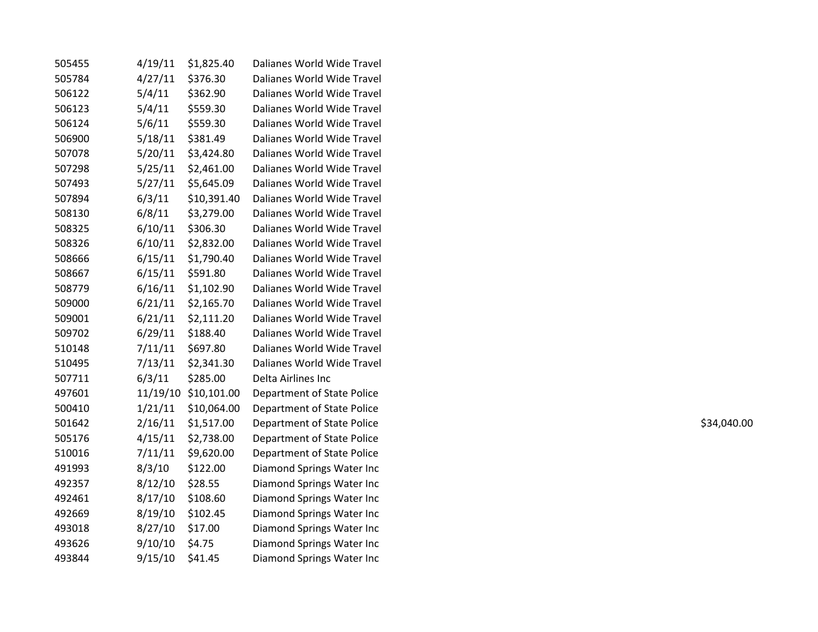| 505455 | 4/19/11 | \$1,825.40           | Dalianes World Wide Travel |             |
|--------|---------|----------------------|----------------------------|-------------|
| 505784 | 4/27/11 | \$376.30             | Dalianes World Wide Travel |             |
| 506122 | 5/4/11  | \$362.90             | Dalianes World Wide Travel |             |
| 506123 | 5/4/11  | \$559.30             | Dalianes World Wide Travel |             |
| 506124 | 5/6/11  | \$559.30             | Dalianes World Wide Travel |             |
| 506900 | 5/18/11 | \$381.49             | Dalianes World Wide Travel |             |
| 507078 | 5/20/11 | \$3,424.80           | Dalianes World Wide Travel |             |
| 507298 | 5/25/11 | \$2,461.00           | Dalianes World Wide Travel |             |
| 507493 | 5/27/11 | \$5,645.09           | Dalianes World Wide Travel |             |
| 507894 | 6/3/11  | \$10,391.40          | Dalianes World Wide Travel |             |
| 508130 | 6/8/11  | \$3,279.00           | Dalianes World Wide Travel |             |
| 508325 | 6/10/11 | \$306.30             | Dalianes World Wide Travel |             |
| 508326 | 6/10/11 | \$2,832.00           | Dalianes World Wide Travel |             |
| 508666 | 6/15/11 | \$1,790.40           | Dalianes World Wide Travel |             |
| 508667 | 6/15/11 | \$591.80             | Dalianes World Wide Travel |             |
| 508779 | 6/16/11 | \$1,102.90           | Dalianes World Wide Travel |             |
| 509000 | 6/21/11 | \$2,165.70           | Dalianes World Wide Travel |             |
| 509001 | 6/21/11 | \$2,111.20           | Dalianes World Wide Travel |             |
| 509702 | 6/29/11 | \$188.40             | Dalianes World Wide Travel |             |
| 510148 | 7/11/11 | \$697.80             | Dalianes World Wide Travel |             |
| 510495 | 7/13/11 | \$2,341.30           | Dalianes World Wide Travel |             |
| 507711 | 6/3/11  | \$285.00             | Delta Airlines Inc         |             |
| 497601 |         | 11/19/10 \$10,101.00 | Department of State Police |             |
| 500410 | 1/21/11 | \$10,064.00          | Department of State Police |             |
| 501642 | 2/16/11 | \$1,517.00           | Department of State Police | \$34,040.00 |
| 505176 | 4/15/11 | \$2,738.00           | Department of State Police |             |
| 510016 | 7/11/11 | \$9,620.00           | Department of State Police |             |
| 491993 | 8/3/10  | \$122.00             | Diamond Springs Water Inc  |             |
| 492357 | 8/12/10 | \$28.55              | Diamond Springs Water Inc  |             |
| 492461 | 8/17/10 | \$108.60             | Diamond Springs Water Inc  |             |
| 492669 | 8/19/10 | \$102.45             | Diamond Springs Water Inc  |             |
| 493018 | 8/27/10 | \$17.00              | Diamond Springs Water Inc  |             |
| 493626 | 9/10/10 | \$4.75               | Diamond Springs Water Inc  |             |
| 493844 | 9/15/10 | \$41.45              | Diamond Springs Water Inc  |             |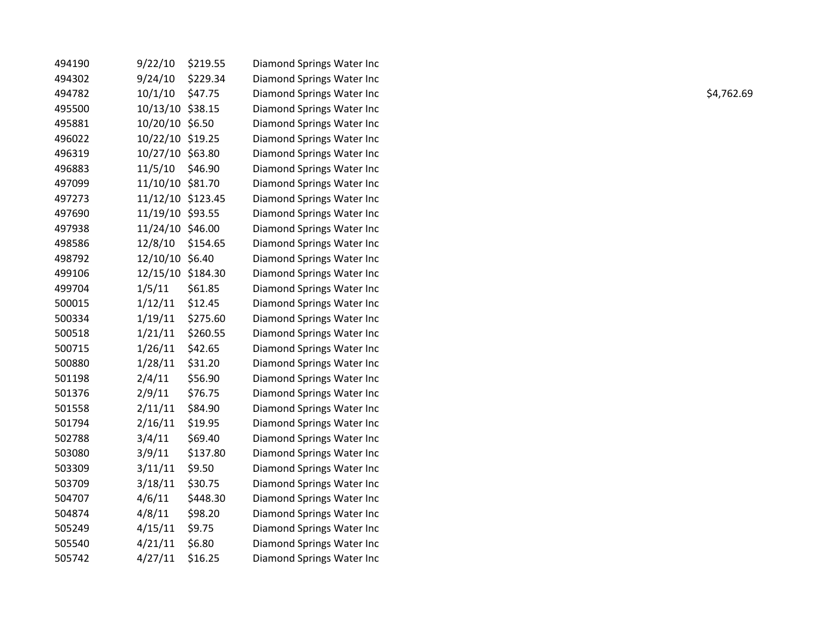| 494190 | 9/22/10           | \$219.55 | Diamond Springs Water Inc |            |
|--------|-------------------|----------|---------------------------|------------|
| 494302 | 9/24/10           | \$229.34 | Diamond Springs Water Inc |            |
| 494782 | 10/1/10           | \$47.75  | Diamond Springs Water Inc | \$4,762.69 |
| 495500 | 10/13/10 \$38.15  |          | Diamond Springs Water Inc |            |
| 495881 | 10/20/10 \$6.50   |          | Diamond Springs Water Inc |            |
| 496022 | 10/22/10 \$19.25  |          | Diamond Springs Water Inc |            |
| 496319 | 10/27/10 \$63.80  |          | Diamond Springs Water Inc |            |
| 496883 | 11/5/10           | \$46.90  | Diamond Springs Water Inc |            |
| 497099 | 11/10/10 \$81.70  |          | Diamond Springs Water Inc |            |
| 497273 | 11/12/10 \$123.45 |          | Diamond Springs Water Inc |            |
| 497690 | 11/19/10 \$93.55  |          | Diamond Springs Water Inc |            |
| 497938 | 11/24/10 \$46.00  |          | Diamond Springs Water Inc |            |
| 498586 | 12/8/10 \$154.65  |          | Diamond Springs Water Inc |            |
| 498792 | 12/10/10 \$6.40   |          | Diamond Springs Water Inc |            |
| 499106 | 12/15/10 \$184.30 |          | Diamond Springs Water Inc |            |
| 499704 | 1/5/11            | \$61.85  | Diamond Springs Water Inc |            |
| 500015 | 1/12/11           | \$12.45  | Diamond Springs Water Inc |            |
| 500334 | 1/19/11           | \$275.60 | Diamond Springs Water Inc |            |
| 500518 | 1/21/11           | \$260.55 | Diamond Springs Water Inc |            |
| 500715 | 1/26/11           | \$42.65  | Diamond Springs Water Inc |            |
| 500880 | 1/28/11           | \$31.20  | Diamond Springs Water Inc |            |
| 501198 | 2/4/11            | \$56.90  | Diamond Springs Water Inc |            |
| 501376 | 2/9/11            | \$76.75  | Diamond Springs Water Inc |            |
| 501558 | 2/11/11           | \$84.90  | Diamond Springs Water Inc |            |
| 501794 | 2/16/11           | \$19.95  | Diamond Springs Water Inc |            |
| 502788 | 3/4/11            | \$69.40  | Diamond Springs Water Inc |            |
| 503080 | 3/9/11            | \$137.80 | Diamond Springs Water Inc |            |
| 503309 | 3/11/11           | \$9.50   | Diamond Springs Water Inc |            |
| 503709 | 3/18/11           | \$30.75  | Diamond Springs Water Inc |            |
| 504707 | 4/6/11            | \$448.30 | Diamond Springs Water Inc |            |
| 504874 | 4/8/11            | \$98.20  | Diamond Springs Water Inc |            |
| 505249 | 4/15/11           | \$9.75   | Diamond Springs Water Inc |            |
| 505540 | 4/21/11           | \$6.80   | Diamond Springs Water Inc |            |
| 505742 | 4/27/11           | \$16.25  | Diamond Springs Water Inc |            |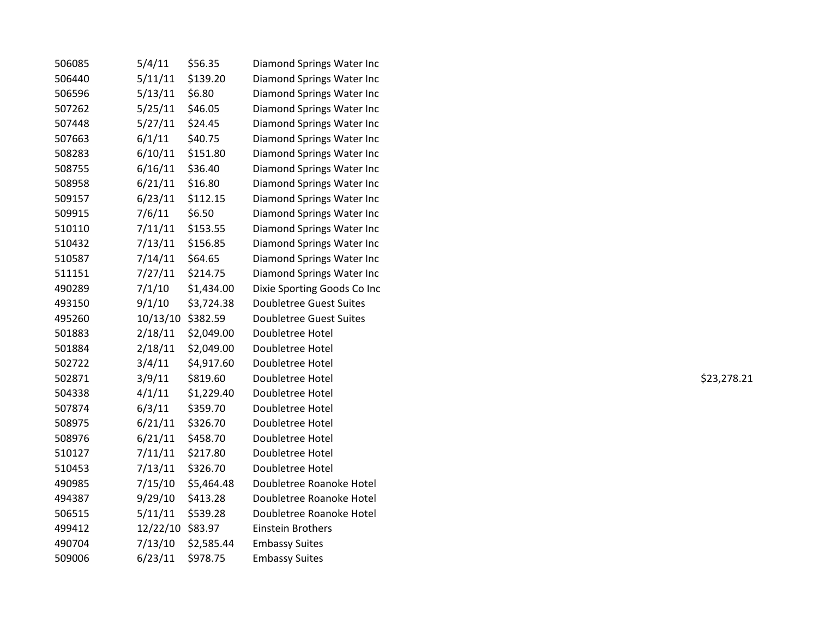| 506085 | 5/4/11           | \$56.35    | Diamond Springs Water Inc      |             |
|--------|------------------|------------|--------------------------------|-------------|
| 506440 | 5/11/11          | \$139.20   | Diamond Springs Water Inc      |             |
| 506596 | 5/13/11          | \$6.80     | Diamond Springs Water Inc      |             |
| 507262 | 5/25/11          | \$46.05    | Diamond Springs Water Inc      |             |
| 507448 | 5/27/11          | \$24.45    | Diamond Springs Water Inc      |             |
| 507663 | 6/1/11           | \$40.75    | Diamond Springs Water Inc      |             |
| 508283 | 6/10/11          | \$151.80   | Diamond Springs Water Inc      |             |
| 508755 | 6/16/11          | \$36.40    | Diamond Springs Water Inc      |             |
| 508958 | 6/21/11          | \$16.80    | Diamond Springs Water Inc      |             |
| 509157 | 6/23/11          | \$112.15   | Diamond Springs Water Inc      |             |
| 509915 | 7/6/11           | \$6.50     | Diamond Springs Water Inc      |             |
| 510110 | 7/11/11          | \$153.55   | Diamond Springs Water Inc      |             |
| 510432 | 7/13/11          | \$156.85   | Diamond Springs Water Inc      |             |
| 510587 | 7/14/11          | \$64.65    | Diamond Springs Water Inc      |             |
| 511151 | 7/27/11          | \$214.75   | Diamond Springs Water Inc      |             |
| 490289 | 7/1/10           | \$1,434.00 | Dixie Sporting Goods Co Inc    |             |
| 493150 | 9/1/10           | \$3,724.38 | <b>Doubletree Guest Suites</b> |             |
| 495260 | 10/13/10         | \$382.59   | <b>Doubletree Guest Suites</b> |             |
| 501883 | 2/18/11          | \$2,049.00 | Doubletree Hotel               |             |
| 501884 | 2/18/11          | \$2,049.00 | Doubletree Hotel               |             |
| 502722 | 3/4/11           | \$4,917.60 | Doubletree Hotel               |             |
| 502871 | 3/9/11           | \$819.60   | Doubletree Hotel               | \$23,278.21 |
| 504338 | 4/1/11           | \$1,229.40 | Doubletree Hotel               |             |
| 507874 | 6/3/11           | \$359.70   | Doubletree Hotel               |             |
| 508975 | 6/21/11          | \$326.70   | Doubletree Hotel               |             |
| 508976 | 6/21/11          | \$458.70   | Doubletree Hotel               |             |
| 510127 | 7/11/11          | \$217.80   | Doubletree Hotel               |             |
| 510453 | 7/13/11          | \$326.70   | Doubletree Hotel               |             |
| 490985 | 7/15/10          | \$5,464.48 | Doubletree Roanoke Hotel       |             |
| 494387 | 9/29/10          | \$413.28   | Doubletree Roanoke Hotel       |             |
| 506515 | 5/11/11          | \$539.28   | Doubletree Roanoke Hotel       |             |
| 499412 | 12/22/10 \$83.97 |            | Einstein Brothers              |             |
| 490704 | 7/13/10          | \$2,585.44 | <b>Embassy Suites</b>          |             |
| 509006 | 6/23/11          | \$978.75   | <b>Embassy Suites</b>          |             |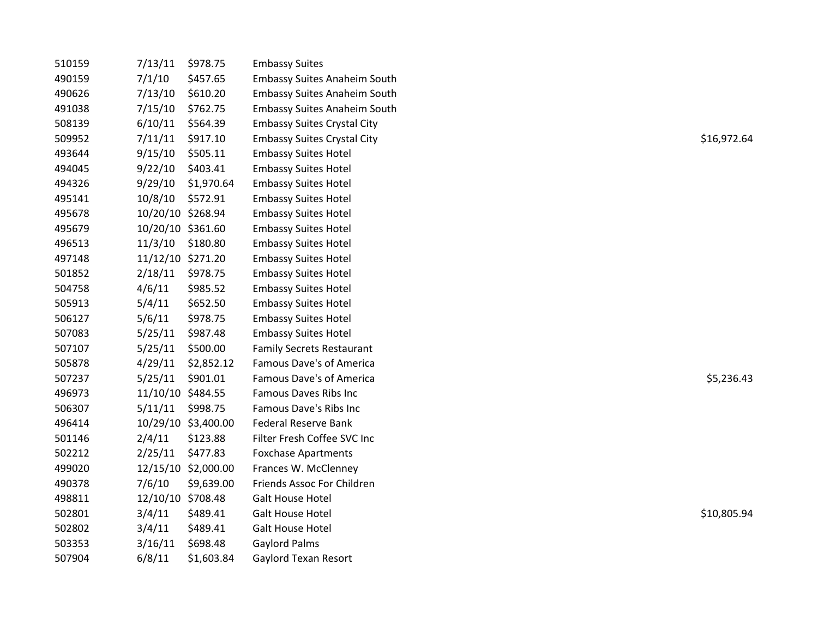| 510159 | 7/13/11           | \$978.75            | <b>Embassy Suites</b>               |             |
|--------|-------------------|---------------------|-------------------------------------|-------------|
| 490159 | 7/1/10            | \$457.65            | <b>Embassy Suites Anaheim South</b> |             |
| 490626 | 7/13/10           | \$610.20            | <b>Embassy Suites Anaheim South</b> |             |
| 491038 | 7/15/10           | \$762.75            | <b>Embassy Suites Anaheim South</b> |             |
| 508139 | 6/10/11           | \$564.39            | <b>Embassy Suites Crystal City</b>  |             |
| 509952 | 7/11/11           | \$917.10            | <b>Embassy Suites Crystal City</b>  | \$16,972.64 |
| 493644 | 9/15/10           | \$505.11            | <b>Embassy Suites Hotel</b>         |             |
| 494045 | 9/22/10           | \$403.41            | <b>Embassy Suites Hotel</b>         |             |
| 494326 | 9/29/10           | \$1,970.64          | <b>Embassy Suites Hotel</b>         |             |
| 495141 | 10/8/10           | \$572.91            | <b>Embassy Suites Hotel</b>         |             |
| 495678 | 10/20/10 \$268.94 |                     | <b>Embassy Suites Hotel</b>         |             |
| 495679 | 10/20/10 \$361.60 |                     | <b>Embassy Suites Hotel</b>         |             |
| 496513 | 11/3/10           | \$180.80            | <b>Embassy Suites Hotel</b>         |             |
| 497148 | 11/12/10 \$271.20 |                     | <b>Embassy Suites Hotel</b>         |             |
| 501852 | 2/18/11           | \$978.75            | <b>Embassy Suites Hotel</b>         |             |
| 504758 | 4/6/11            | \$985.52            | <b>Embassy Suites Hotel</b>         |             |
| 505913 | 5/4/11            | \$652.50            | <b>Embassy Suites Hotel</b>         |             |
| 506127 | 5/6/11            | \$978.75            | <b>Embassy Suites Hotel</b>         |             |
| 507083 | 5/25/11           | \$987.48            | <b>Embassy Suites Hotel</b>         |             |
| 507107 | 5/25/11           | \$500.00            | <b>Family Secrets Restaurant</b>    |             |
| 505878 | 4/29/11           | \$2,852.12          | Famous Dave's of America            |             |
| 507237 | 5/25/11           | \$901.01            | Famous Dave's of America            | \$5,236.43  |
| 496973 | 11/10/10 \$484.55 |                     | <b>Famous Daves Ribs Inc</b>        |             |
| 506307 | 5/11/11 \$998.75  |                     | Famous Dave's Ribs Inc              |             |
| 496414 |                   | 10/29/10 \$3,400.00 | <b>Federal Reserve Bank</b>         |             |
| 501146 | 2/4/11            | \$123.88            | Filter Fresh Coffee SVC Inc         |             |
| 502212 | 2/25/11           | \$477.83            | <b>Foxchase Apartments</b>          |             |
| 499020 |                   | 12/15/10 \$2,000.00 | Frances W. McClenney                |             |
| 490378 | 7/6/10            | \$9,639.00          | Friends Assoc For Children          |             |
| 498811 | 12/10/10 \$708.48 |                     | <b>Galt House Hotel</b>             |             |
| 502801 | 3/4/11            | \$489.41            | <b>Galt House Hotel</b>             | \$10,805.94 |
| 502802 | 3/4/11            | \$489.41            | <b>Galt House Hotel</b>             |             |
| 503353 | 3/16/11           | \$698.48            | <b>Gaylord Palms</b>                |             |
| 507904 | 6/8/11            | \$1,603.84          | Gaylord Texan Resort                |             |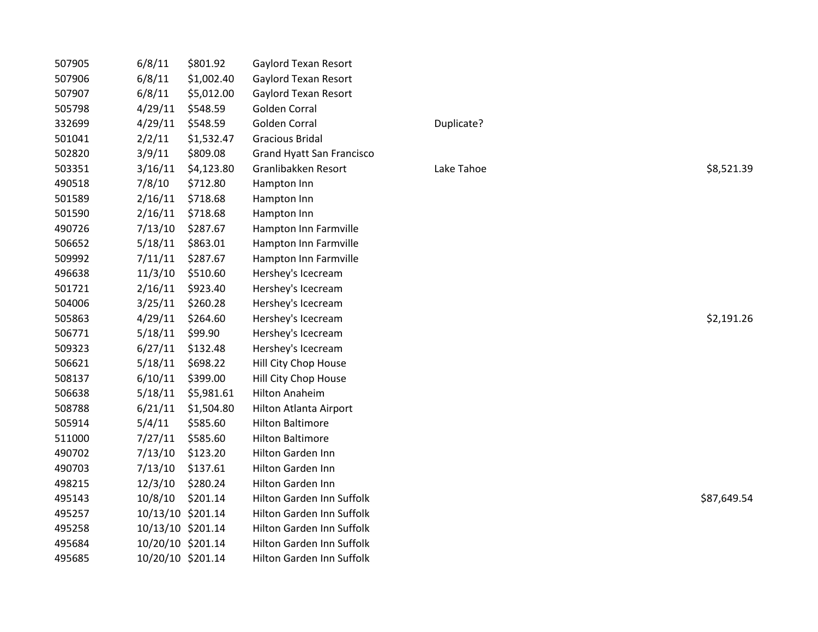| 507905 | 6/8/11            | \$801.92   | Gaylord Texan Resort             |            |             |
|--------|-------------------|------------|----------------------------------|------------|-------------|
| 507906 | 6/8/11            | \$1,002.40 | Gaylord Texan Resort             |            |             |
| 507907 | 6/8/11            | \$5,012.00 | <b>Gaylord Texan Resort</b>      |            |             |
| 505798 | 4/29/11           | \$548.59   | Golden Corral                    |            |             |
| 332699 | 4/29/11           | \$548.59   | Golden Corral                    | Duplicate? |             |
| 501041 | 2/2/11            | \$1,532.47 | <b>Gracious Bridal</b>           |            |             |
| 502820 | 3/9/11            | \$809.08   | <b>Grand Hyatt San Francisco</b> |            |             |
| 503351 | 3/16/11           | \$4,123.80 | Granlibakken Resort              | Lake Tahoe | \$8,521.39  |
| 490518 | 7/8/10            | \$712.80   | Hampton Inn                      |            |             |
| 501589 | 2/16/11           | \$718.68   | Hampton Inn                      |            |             |
| 501590 | 2/16/11           | \$718.68   | Hampton Inn                      |            |             |
| 490726 | 7/13/10           | \$287.67   | Hampton Inn Farmville            |            |             |
| 506652 | 5/18/11           | \$863.01   | Hampton Inn Farmville            |            |             |
| 509992 | 7/11/11           | \$287.67   | Hampton Inn Farmville            |            |             |
| 496638 | 11/3/10           | \$510.60   | Hershey's Icecream               |            |             |
| 501721 | 2/16/11           | \$923.40   | Hershey's Icecream               |            |             |
| 504006 | 3/25/11           | \$260.28   | Hershey's Icecream               |            |             |
| 505863 | 4/29/11           | \$264.60   | Hershey's Icecream               |            | \$2,191.26  |
| 506771 | 5/18/11           | \$99.90    | Hershey's Icecream               |            |             |
| 509323 | 6/27/11           | \$132.48   | Hershey's Icecream               |            |             |
| 506621 | 5/18/11           | \$698.22   | Hill City Chop House             |            |             |
| 508137 | 6/10/11           | \$399.00   | Hill City Chop House             |            |             |
| 506638 | 5/18/11           | \$5,981.61 | <b>Hilton Anaheim</b>            |            |             |
| 508788 | 6/21/11           | \$1,504.80 | Hilton Atlanta Airport           |            |             |
| 505914 | 5/4/11            | \$585.60   | <b>Hilton Baltimore</b>          |            |             |
| 511000 | 7/27/11           | \$585.60   | <b>Hilton Baltimore</b>          |            |             |
| 490702 | 7/13/10           | \$123.20   | Hilton Garden Inn                |            |             |
| 490703 | 7/13/10           | \$137.61   | Hilton Garden Inn                |            |             |
| 498215 | 12/3/10           | \$280.24   | Hilton Garden Inn                |            |             |
| 495143 | 10/8/10           | \$201.14   | Hilton Garden Inn Suffolk        |            | \$87,649.54 |
| 495257 | 10/13/10 \$201.14 |            | Hilton Garden Inn Suffolk        |            |             |
| 495258 | 10/13/10 \$201.14 |            | Hilton Garden Inn Suffolk        |            |             |
| 495684 | 10/20/10 \$201.14 |            | Hilton Garden Inn Suffolk        |            |             |
| 495685 | 10/20/10 \$201.14 |            | Hilton Garden Inn Suffolk        |            |             |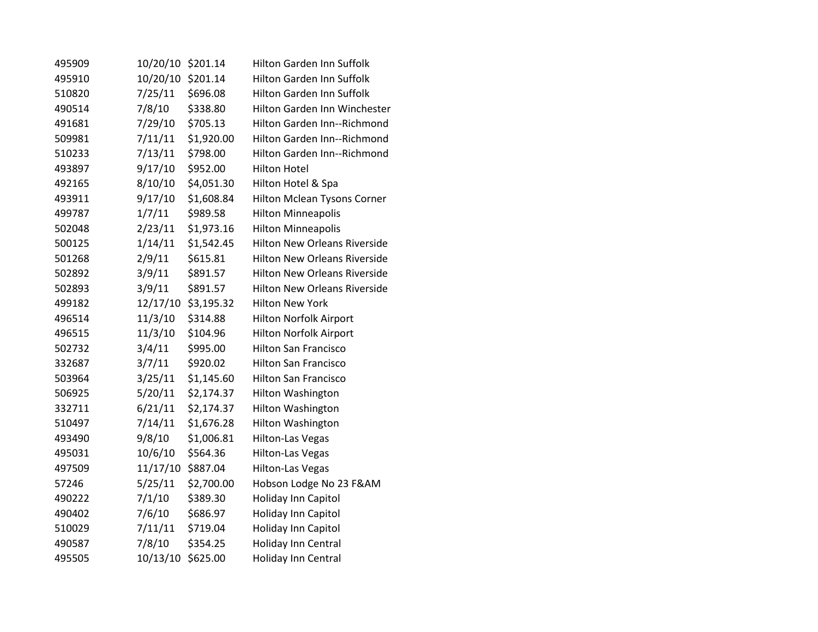| 495909 | 10/20/10 | \$201.14   | Hilton Garden Inn Suffolk           |
|--------|----------|------------|-------------------------------------|
| 495910 | 10/20/10 | \$201.14   | <b>Hilton Garden Inn Suffolk</b>    |
| 510820 | 7/25/11  | \$696.08   | <b>Hilton Garden Inn Suffolk</b>    |
| 490514 | 7/8/10   | \$338.80   | Hilton Garden Inn Winchester        |
| 491681 | 7/29/10  | \$705.13   | Hilton Garden Inn--Richmond         |
| 509981 | 7/11/11  | \$1,920.00 | Hilton Garden Inn--Richmond         |
| 510233 | 7/13/11  | \$798.00   | Hilton Garden Inn--Richmond         |
| 493897 | 9/17/10  | \$952.00   | <b>Hilton Hotel</b>                 |
| 492165 | 8/10/10  | \$4,051.30 | Hilton Hotel & Spa                  |
| 493911 | 9/17/10  | \$1,608.84 | <b>Hilton Mclean Tysons Corner</b>  |
| 499787 | 1/7/11   | \$989.58   | <b>Hilton Minneapolis</b>           |
| 502048 | 2/23/11  | \$1,973.16 | <b>Hilton Minneapolis</b>           |
| 500125 | 1/14/11  | \$1,542.45 | <b>Hilton New Orleans Riverside</b> |
| 501268 | 2/9/11   | \$615.81   | <b>Hilton New Orleans Riverside</b> |
| 502892 | 3/9/11   | \$891.57   | <b>Hilton New Orleans Riverside</b> |
| 502893 | 3/9/11   | \$891.57   | <b>Hilton New Orleans Riverside</b> |
| 499182 | 12/17/10 | \$3,195.32 | <b>Hilton New York</b>              |
| 496514 | 11/3/10  | \$314.88   | <b>Hilton Norfolk Airport</b>       |
| 496515 | 11/3/10  | \$104.96   | <b>Hilton Norfolk Airport</b>       |
| 502732 | 3/4/11   | \$995.00   | <b>Hilton San Francisco</b>         |
| 332687 | 3/7/11   | \$920.02   | <b>Hilton San Francisco</b>         |
| 503964 | 3/25/11  | \$1,145.60 | <b>Hilton San Francisco</b>         |
| 506925 | 5/20/11  | \$2,174.37 | Hilton Washington                   |
| 332711 | 6/21/11  | \$2,174.37 | Hilton Washington                   |
| 510497 | 7/14/11  | \$1,676.28 | <b>Hilton Washington</b>            |
| 493490 | 9/8/10   | \$1,006.81 | <b>Hilton-Las Vegas</b>             |
| 495031 | 10/6/10  | \$564.36   | Hilton-Las Vegas                    |
| 497509 | 11/17/10 | \$887.04   | <b>Hilton-Las Vegas</b>             |
| 57246  | 5/25/11  | \$2,700.00 | Hobson Lodge No 23 F&AM             |
| 490222 | 7/1/10   | \$389.30   | Holiday Inn Capitol                 |
| 490402 | 7/6/10   | \$686.97   | Holiday Inn Capitol                 |
| 510029 | 7/11/11  | \$719.04   | Holiday Inn Capitol                 |
| 490587 | 7/8/10   | \$354.25   | Holiday Inn Central                 |
| 495505 | 10/13/10 | \$625.00   | Holiday Inn Central                 |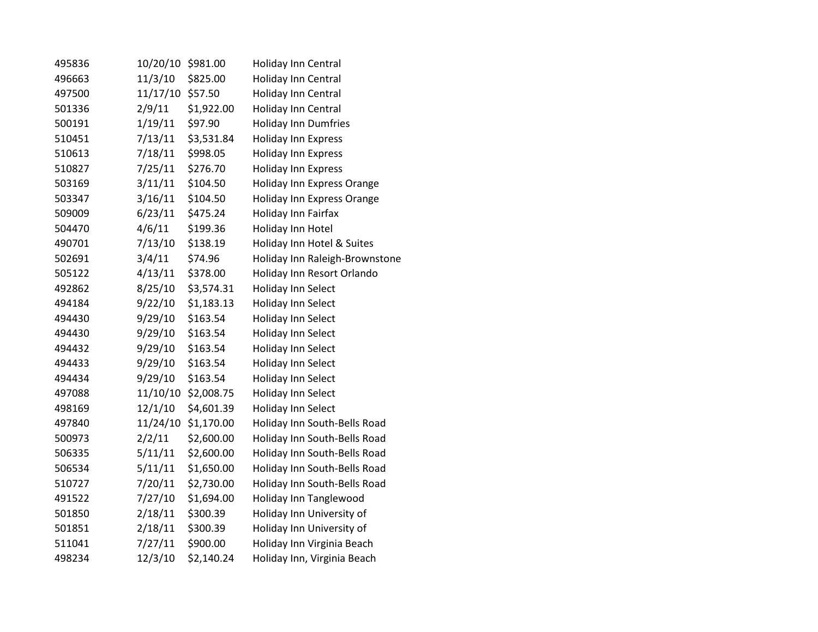| 495836 | 10/20/10 | \$981.00   | Holiday Inn Central            |
|--------|----------|------------|--------------------------------|
| 496663 | 11/3/10  | \$825.00   | Holiday Inn Central            |
| 497500 | 11/17/10 | \$57.50    | Holiday Inn Central            |
| 501336 | 2/9/11   | \$1,922.00 | Holiday Inn Central            |
| 500191 | 1/19/11  | \$97.90    | <b>Holiday Inn Dumfries</b>    |
| 510451 | 7/13/11  | \$3,531.84 | <b>Holiday Inn Express</b>     |
| 510613 | 7/18/11  | \$998.05   | <b>Holiday Inn Express</b>     |
| 510827 | 7/25/11  | \$276.70   | <b>Holiday Inn Express</b>     |
| 503169 | 3/11/11  | \$104.50   | Holiday Inn Express Orange     |
| 503347 | 3/16/11  | \$104.50   | Holiday Inn Express Orange     |
| 509009 | 6/23/11  | \$475.24   | Holiday Inn Fairfax            |
| 504470 | 4/6/11   | \$199.36   | Holiday Inn Hotel              |
| 490701 | 7/13/10  | \$138.19   | Holiday Inn Hotel & Suites     |
| 502691 | 3/4/11   | \$74.96    | Holiday Inn Raleigh-Brownstone |
| 505122 | 4/13/11  | \$378.00   | Holiday Inn Resort Orlando     |
| 492862 | 8/25/10  | \$3,574.31 | Holiday Inn Select             |
| 494184 | 9/22/10  | \$1,183.13 | Holiday Inn Select             |
| 494430 | 9/29/10  | \$163.54   | Holiday Inn Select             |
| 494430 | 9/29/10  | \$163.54   | Holiday Inn Select             |
| 494432 | 9/29/10  | \$163.54   | Holiday Inn Select             |
| 494433 | 9/29/10  | \$163.54   | Holiday Inn Select             |
| 494434 | 9/29/10  | \$163.54   | <b>Holiday Inn Select</b>      |
| 497088 | 11/10/10 | \$2,008.75 | Holiday Inn Select             |
| 498169 | 12/1/10  | \$4,601.39 | Holiday Inn Select             |
| 497840 | 11/24/10 | \$1,170.00 | Holiday Inn South-Bells Road   |
| 500973 | 2/2/11   | \$2,600.00 | Holiday Inn South-Bells Road   |
| 506335 | 5/11/11  | \$2,600.00 | Holiday Inn South-Bells Road   |
| 506534 | 5/11/11  | \$1,650.00 | Holiday Inn South-Bells Road   |
| 510727 | 7/20/11  | \$2,730.00 | Holiday Inn South-Bells Road   |
| 491522 | 7/27/10  | \$1,694.00 | Holiday Inn Tanglewood         |
| 501850 | 2/18/11  | \$300.39   | Holiday Inn University of      |
| 501851 | 2/18/11  | \$300.39   | Holiday Inn University of      |
| 511041 | 7/27/11  | \$900.00   | Holiday Inn Virginia Beach     |
| 498234 | 12/3/10  | \$2,140.24 | Holiday Inn, Virginia Beach    |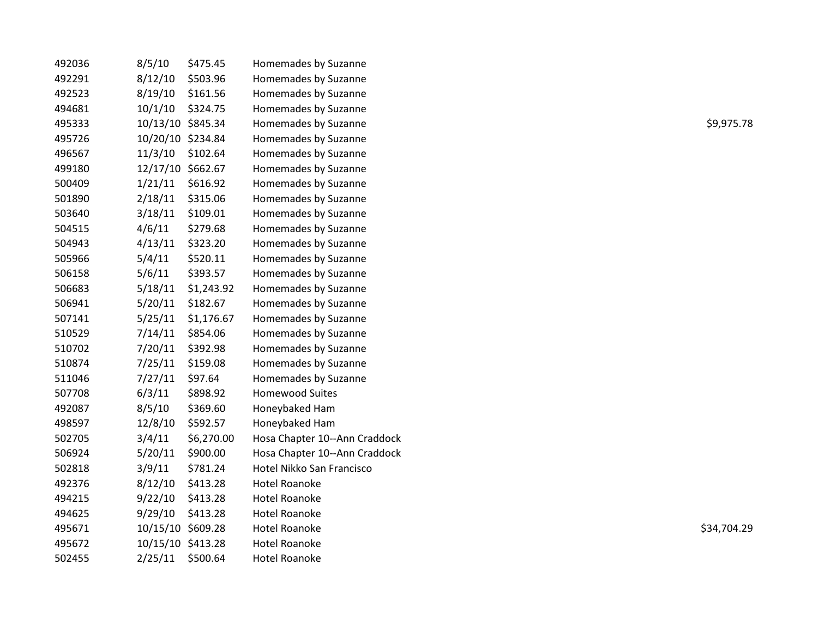| 492036 | 8/5/10            | \$475.45   | Homemades by Suzanne          |             |
|--------|-------------------|------------|-------------------------------|-------------|
| 492291 | 8/12/10           | \$503.96   | Homemades by Suzanne          |             |
| 492523 | 8/19/10           | \$161.56   | Homemades by Suzanne          |             |
| 494681 | 10/1/10           | \$324.75   | Homemades by Suzanne          |             |
| 495333 | 10/13/10 \$845.34 |            | Homemades by Suzanne          | \$9,975.78  |
| 495726 | 10/20/10 \$234.84 |            | Homemades by Suzanne          |             |
| 496567 | 11/3/10           | \$102.64   | Homemades by Suzanne          |             |
| 499180 | 12/17/10 \$662.67 |            | Homemades by Suzanne          |             |
| 500409 | 1/21/11           | \$616.92   | Homemades by Suzanne          |             |
| 501890 | 2/18/11           | \$315.06   | Homemades by Suzanne          |             |
| 503640 | 3/18/11           | \$109.01   | Homemades by Suzanne          |             |
| 504515 | 4/6/11            | \$279.68   | Homemades by Suzanne          |             |
| 504943 | 4/13/11           | \$323.20   | Homemades by Suzanne          |             |
| 505966 | 5/4/11            | \$520.11   | Homemades by Suzanne          |             |
| 506158 | 5/6/11            | \$393.57   | Homemades by Suzanne          |             |
| 506683 | 5/18/11           | \$1,243.92 | Homemades by Suzanne          |             |
| 506941 | 5/20/11           | \$182.67   | Homemades by Suzanne          |             |
| 507141 | 5/25/11           | \$1,176.67 | Homemades by Suzanne          |             |
| 510529 | 7/14/11           | \$854.06   | Homemades by Suzanne          |             |
| 510702 | 7/20/11           | \$392.98   | Homemades by Suzanne          |             |
| 510874 | 7/25/11           | \$159.08   | Homemades by Suzanne          |             |
| 511046 | 7/27/11           | \$97.64    | Homemades by Suzanne          |             |
| 507708 | 6/3/11            | \$898.92   | <b>Homewood Suites</b>        |             |
| 492087 | 8/5/10            | \$369.60   | Honeybaked Ham                |             |
| 498597 | 12/8/10           | \$592.57   | Honeybaked Ham                |             |
| 502705 | 3/4/11            | \$6,270.00 | Hosa Chapter 10--Ann Craddock |             |
| 506924 | 5/20/11           | \$900.00   | Hosa Chapter 10--Ann Craddock |             |
| 502818 | 3/9/11            | \$781.24   | Hotel Nikko San Francisco     |             |
| 492376 | 8/12/10           | \$413.28   | <b>Hotel Roanoke</b>          |             |
| 494215 | 9/22/10           | \$413.28   | <b>Hotel Roanoke</b>          |             |
| 494625 | 9/29/10           | \$413.28   | <b>Hotel Roanoke</b>          |             |
| 495671 | 10/15/10 \$609.28 |            | <b>Hotel Roanoke</b>          | \$34,704.29 |
| 495672 | 10/15/10 \$413.28 |            | <b>Hotel Roanoke</b>          |             |
| 502455 | 2/25/11           | \$500.64   | <b>Hotel Roanoke</b>          |             |
|        |                   |            |                               |             |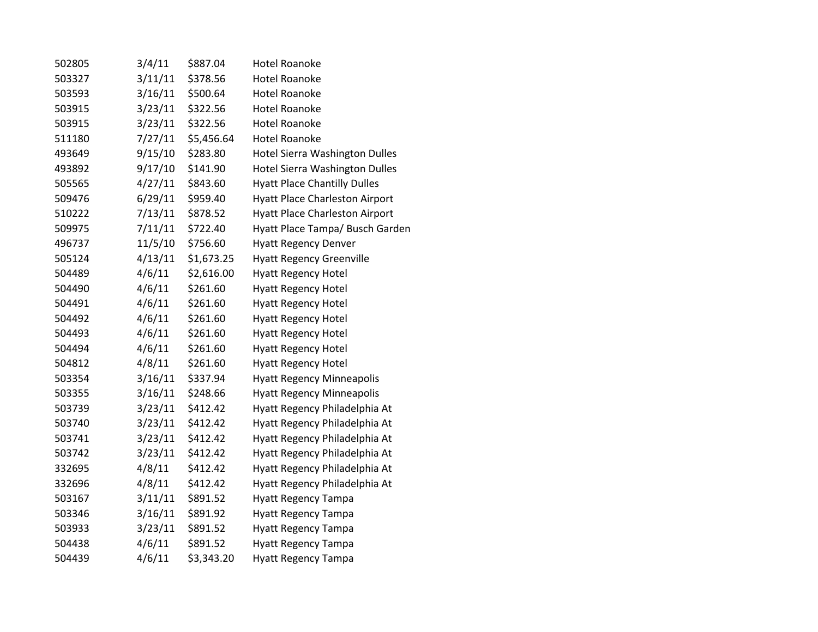| 502805 | 3/4/11  | \$887.04   | <b>Hotel Roanoke</b>                  |
|--------|---------|------------|---------------------------------------|
| 503327 | 3/11/11 | \$378.56   | <b>Hotel Roanoke</b>                  |
| 503593 | 3/16/11 | \$500.64   | <b>Hotel Roanoke</b>                  |
| 503915 | 3/23/11 | \$322.56   | <b>Hotel Roanoke</b>                  |
| 503915 | 3/23/11 | \$322.56   | <b>Hotel Roanoke</b>                  |
| 511180 | 7/27/11 | \$5,456.64 | <b>Hotel Roanoke</b>                  |
| 493649 | 9/15/10 | \$283.80   | Hotel Sierra Washington Dulles        |
| 493892 | 9/17/10 | \$141.90   | Hotel Sierra Washington Dulles        |
| 505565 | 4/27/11 | \$843.60   | <b>Hyatt Place Chantilly Dulles</b>   |
| 509476 | 6/29/11 | \$959.40   | <b>Hyatt Place Charleston Airport</b> |
| 510222 | 7/13/11 | \$878.52   | <b>Hyatt Place Charleston Airport</b> |
| 509975 | 7/11/11 | \$722.40   | Hyatt Place Tampa/ Busch Garden       |
| 496737 | 11/5/10 | \$756.60   | <b>Hyatt Regency Denver</b>           |
| 505124 | 4/13/11 | \$1,673.25 | <b>Hyatt Regency Greenville</b>       |
| 504489 | 4/6/11  | \$2,616.00 | <b>Hyatt Regency Hotel</b>            |
| 504490 | 4/6/11  | \$261.60   | <b>Hyatt Regency Hotel</b>            |
| 504491 | 4/6/11  | \$261.60   | <b>Hyatt Regency Hotel</b>            |
| 504492 | 4/6/11  | \$261.60   | <b>Hyatt Regency Hotel</b>            |
| 504493 | 4/6/11  | \$261.60   | <b>Hyatt Regency Hotel</b>            |
| 504494 | 4/6/11  | \$261.60   | <b>Hyatt Regency Hotel</b>            |
| 504812 | 4/8/11  | \$261.60   | <b>Hyatt Regency Hotel</b>            |
| 503354 | 3/16/11 | \$337.94   | <b>Hyatt Regency Minneapolis</b>      |
| 503355 | 3/16/11 | \$248.66   | <b>Hyatt Regency Minneapolis</b>      |
| 503739 | 3/23/11 | \$412.42   | Hyatt Regency Philadelphia At         |
| 503740 | 3/23/11 | \$412.42   | Hyatt Regency Philadelphia At         |
| 503741 | 3/23/11 | \$412.42   | Hyatt Regency Philadelphia At         |
| 503742 | 3/23/11 | \$412.42   | Hyatt Regency Philadelphia At         |
| 332695 | 4/8/11  | \$412.42   | Hyatt Regency Philadelphia At         |
| 332696 | 4/8/11  | \$412.42   | Hyatt Regency Philadelphia At         |
| 503167 | 3/11/11 | \$891.52   | <b>Hyatt Regency Tampa</b>            |
| 503346 | 3/16/11 | \$891.92   | <b>Hyatt Regency Tampa</b>            |
| 503933 | 3/23/11 | \$891.52   | <b>Hyatt Regency Tampa</b>            |
| 504438 | 4/6/11  | \$891.52   | <b>Hyatt Regency Tampa</b>            |
| 504439 | 4/6/11  | \$3,343.20 | <b>Hyatt Regency Tampa</b>            |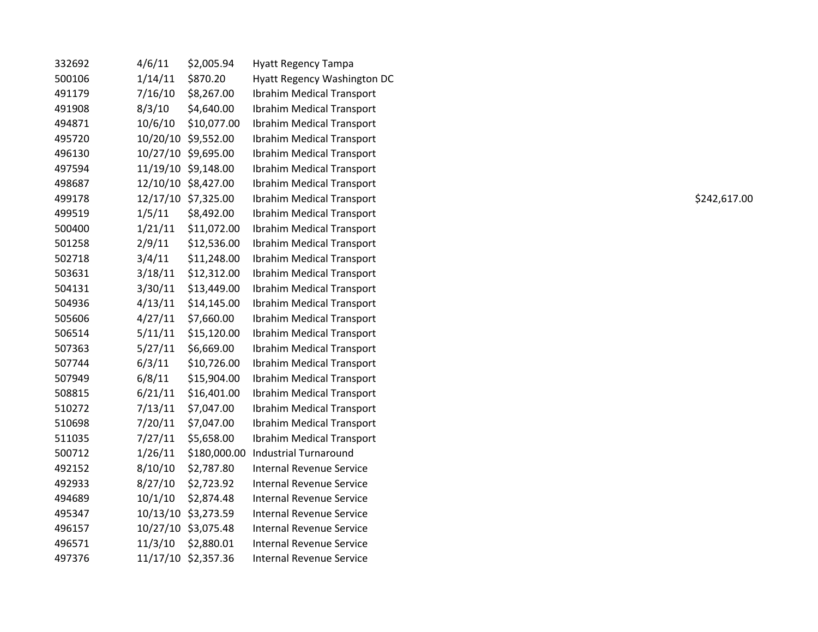| 332692 | 4/6/11  | \$2,005.94          | <b>Hyatt Regency Tampa</b>       |              |
|--------|---------|---------------------|----------------------------------|--------------|
| 500106 | 1/14/11 | \$870.20            | Hyatt Regency Washington DC      |              |
| 491179 | 7/16/10 | \$8,267.00          | Ibrahim Medical Transport        |              |
| 491908 | 8/3/10  | \$4,640.00          | <b>Ibrahim Medical Transport</b> |              |
| 494871 | 10/6/10 | \$10,077.00         | Ibrahim Medical Transport        |              |
| 495720 |         | 10/20/10 \$9,552.00 | Ibrahim Medical Transport        |              |
| 496130 |         | 10/27/10 \$9,695.00 | Ibrahim Medical Transport        |              |
| 497594 |         | 11/19/10 \$9,148.00 | Ibrahim Medical Transport        |              |
| 498687 |         | 12/10/10 \$8,427.00 | Ibrahim Medical Transport        |              |
| 499178 |         | 12/17/10 \$7,325.00 | Ibrahim Medical Transport        | \$242,617.00 |
| 499519 | 1/5/11  | \$8,492.00          | Ibrahim Medical Transport        |              |
| 500400 | 1/21/11 | \$11,072.00         | Ibrahim Medical Transport        |              |
| 501258 | 2/9/11  | \$12,536.00         | <b>Ibrahim Medical Transport</b> |              |
| 502718 | 3/4/11  | \$11,248.00         | Ibrahim Medical Transport        |              |
| 503631 | 3/18/11 | \$12,312.00         | Ibrahim Medical Transport        |              |
| 504131 | 3/30/11 | \$13,449.00         | Ibrahim Medical Transport        |              |
| 504936 | 4/13/11 | \$14,145.00         | Ibrahim Medical Transport        |              |
| 505606 | 4/27/11 | \$7,660.00          | Ibrahim Medical Transport        |              |
| 506514 | 5/11/11 | \$15,120.00         | Ibrahim Medical Transport        |              |
| 507363 | 5/27/11 | \$6,669.00          | Ibrahim Medical Transport        |              |
| 507744 | 6/3/11  | \$10,726.00         | Ibrahim Medical Transport        |              |
| 507949 | 6/8/11  | \$15,904.00         | Ibrahim Medical Transport        |              |
| 508815 | 6/21/11 | \$16,401.00         | Ibrahim Medical Transport        |              |
| 510272 | 7/13/11 | \$7,047.00          | Ibrahim Medical Transport        |              |
| 510698 | 7/20/11 | \$7,047.00          | Ibrahim Medical Transport        |              |
| 511035 | 7/27/11 | \$5,658.00          | Ibrahim Medical Transport        |              |
| 500712 | 1/26/11 | \$180,000.00        | <b>Industrial Turnaround</b>     |              |
| 492152 | 8/10/10 | \$2,787.80          | <b>Internal Revenue Service</b>  |              |
| 492933 | 8/27/10 | \$2,723.92          | <b>Internal Revenue Service</b>  |              |
| 494689 | 10/1/10 | \$2,874.48          | <b>Internal Revenue Service</b>  |              |
| 495347 |         | 10/13/10 \$3,273.59 | <b>Internal Revenue Service</b>  |              |
| 496157 |         | 10/27/10 \$3,075.48 | <b>Internal Revenue Service</b>  |              |
| 496571 |         | 11/3/10 \$2,880.01  | <b>Internal Revenue Service</b>  |              |
| 497376 |         | 11/17/10 \$2,357.36 | <b>Internal Revenue Service</b>  |              |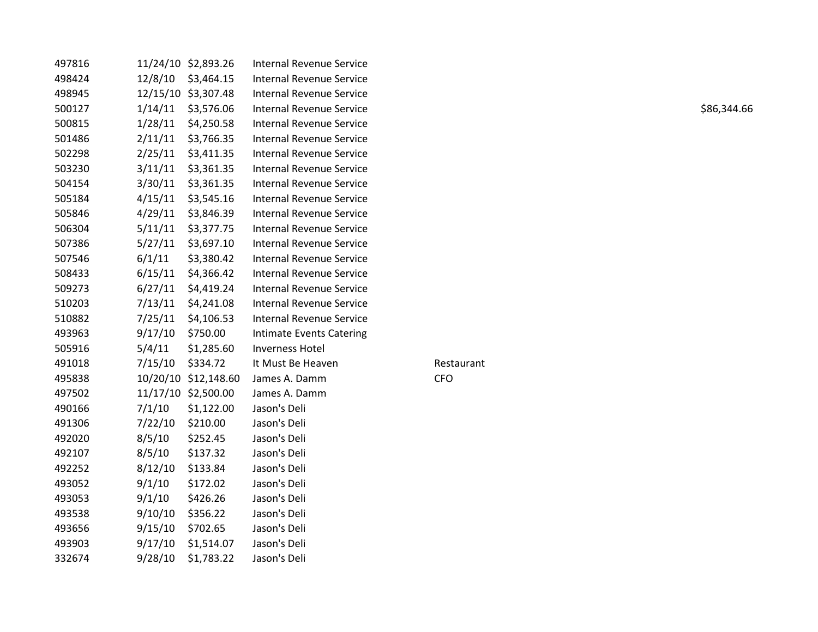| 497816 |         |            | Internal Revenue Service                                                                                                                                  |            |             |
|--------|---------|------------|-----------------------------------------------------------------------------------------------------------------------------------------------------------|------------|-------------|
| 498424 |         |            | Internal Revenue Service                                                                                                                                  |            |             |
| 498945 |         |            | <b>Internal Revenue Service</b>                                                                                                                           |            |             |
| 500127 | 1/14/11 | \$3,576.06 | <b>Internal Revenue Service</b>                                                                                                                           |            | \$86,344.66 |
| 500815 | 1/28/11 |            | Internal Revenue Service                                                                                                                                  |            |             |
| 501486 | 2/11/11 |            | <b>Internal Revenue Service</b>                                                                                                                           |            |             |
| 502298 | 2/25/11 | \$3,411.35 | <b>Internal Revenue Service</b>                                                                                                                           |            |             |
| 503230 | 3/11/11 | \$3,361.35 | <b>Internal Revenue Service</b>                                                                                                                           |            |             |
| 504154 | 3/30/11 | \$3,361.35 | <b>Internal Revenue Service</b>                                                                                                                           |            |             |
| 505184 | 4/15/11 | \$3,545.16 | <b>Internal Revenue Service</b>                                                                                                                           |            |             |
| 505846 | 4/29/11 | \$3,846.39 | <b>Internal Revenue Service</b>                                                                                                                           |            |             |
| 506304 | 5/11/11 | \$3,377.75 | <b>Internal Revenue Service</b>                                                                                                                           |            |             |
| 507386 | 5/27/11 | \$3,697.10 | <b>Internal Revenue Service</b>                                                                                                                           |            |             |
| 507546 | 6/1/11  | \$3,380.42 | <b>Internal Revenue Service</b>                                                                                                                           |            |             |
| 508433 | 6/15/11 |            | <b>Internal Revenue Service</b>                                                                                                                           |            |             |
| 509273 | 6/27/11 | \$4,419.24 | Internal Revenue Service                                                                                                                                  |            |             |
| 510203 | 7/13/11 | \$4,241.08 | <b>Internal Revenue Service</b>                                                                                                                           |            |             |
| 510882 | 7/25/11 | \$4,106.53 | <b>Internal Revenue Service</b>                                                                                                                           |            |             |
| 493963 | 9/17/10 | \$750.00   | Intimate Events Catering                                                                                                                                  |            |             |
| 505916 | 5/4/11  | \$1,285.60 | <b>Inverness Hotel</b>                                                                                                                                    |            |             |
| 491018 | 7/15/10 | \$334.72   | It Must Be Heaven                                                                                                                                         | Restaurant |             |
| 495838 |         |            | James A. Damm                                                                                                                                             | <b>CFO</b> |             |
| 497502 |         |            | James A. Damm                                                                                                                                             |            |             |
| 490166 | 7/1/10  | \$1,122.00 | Jason's Deli                                                                                                                                              |            |             |
| 491306 | 7/22/10 | \$210.00   | Jason's Deli                                                                                                                                              |            |             |
| 492020 | 8/5/10  | \$252.45   | Jason's Deli                                                                                                                                              |            |             |
| 492107 | 8/5/10  | \$137.32   | Jason's Deli                                                                                                                                              |            |             |
| 492252 | 8/12/10 | \$133.84   | Jason's Deli                                                                                                                                              |            |             |
| 493052 | 9/1/10  | \$172.02   | Jason's Deli                                                                                                                                              |            |             |
| 493053 | 9/1/10  | \$426.26   | Jason's Deli                                                                                                                                              |            |             |
| 493538 | 9/10/10 | \$356.22   | Jason's Deli                                                                                                                                              |            |             |
| 493656 | 9/15/10 | \$702.65   | Jason's Deli                                                                                                                                              |            |             |
| 493903 | 9/17/10 | \$1,514.07 | Jason's Deli                                                                                                                                              |            |             |
| 332674 | 9/28/10 | \$1,783.22 | Jason's Deli                                                                                                                                              |            |             |
|        |         |            | 11/24/10 \$2,893.26<br>12/8/10 \$3,464.15<br>12/15/10 \$3,307.48<br>\$4,250.58<br>\$3,766.35<br>\$4,366.42<br>10/20/10 \$12,148.60<br>11/17/10 \$2,500.00 |            |             |

## Restaurant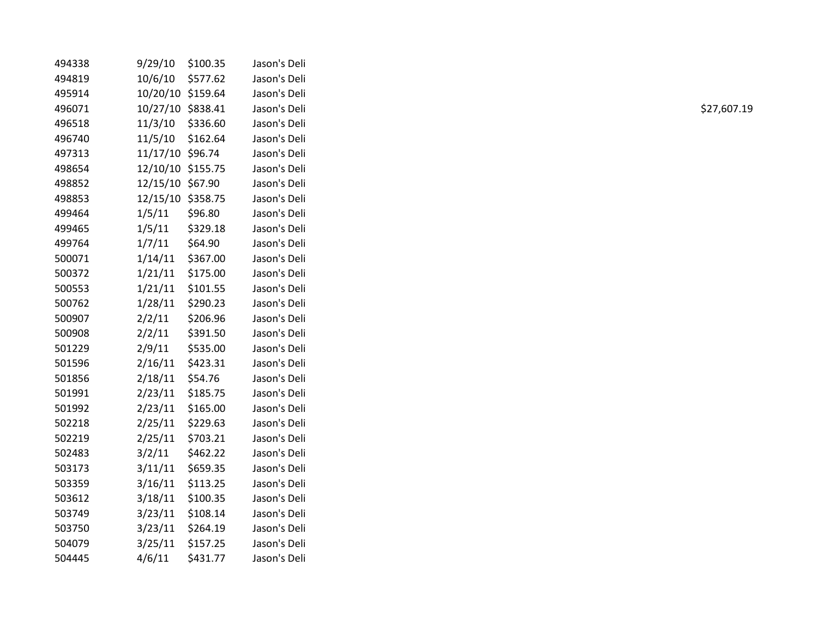| 494338 | 9/29/10           | \$100.35 | Jason's Deli |
|--------|-------------------|----------|--------------|
| 494819 | 10/6/10           | \$577.62 | Jason's Deli |
| 495914 | 10/20/10 \$159.64 |          | Jason's Deli |
| 496071 | 10/27/10 \$838.41 |          | Jason's Deli |
| 496518 | 11/3/10           | \$336.60 | Jason's Deli |
| 496740 | 11/5/10           | \$162.64 | Jason's Deli |
| 497313 | 11/17/10 \$96.74  |          | Jason's Deli |
| 498654 | 12/10/10 \$155.75 |          | Jason's Deli |
| 498852 | 12/15/10 \$67.90  |          | Jason's Deli |
| 498853 | 12/15/10 \$358.75 |          | Jason's Deli |
| 499464 | 1/5/11            | \$96.80  | Jason's Deli |
| 499465 | 1/5/11            | \$329.18 | Jason's Deli |
| 499764 | 1/7/11            | \$64.90  | Jason's Deli |
| 500071 | 1/14/11           | \$367.00 | Jason's Deli |
| 500372 | 1/21/11           | \$175.00 | Jason's Deli |
| 500553 | 1/21/11           | \$101.55 | Jason's Deli |
| 500762 | 1/28/11           | \$290.23 | Jason's Deli |
| 500907 | 2/2/11            | \$206.96 | Jason's Deli |
| 500908 | 2/2/11            | \$391.50 | Jason's Deli |
| 501229 | 2/9/11            | \$535.00 | Jason's Deli |
| 501596 | 2/16/11           | \$423.31 | Jason's Deli |
| 501856 | 2/18/11           | \$54.76  | Jason's Deli |
| 501991 | 2/23/11           | \$185.75 | Jason's Deli |
| 501992 | 2/23/11           | \$165.00 | Jason's Deli |
| 502218 | 2/25/11           | \$229.63 | Jason's Deli |
| 502219 | 2/25/11           | \$703.21 | Jason's Deli |
| 502483 | 3/2/11            | \$462.22 | Jason's Deli |
| 503173 | 3/11/11           | \$659.35 | Jason's Deli |
| 503359 | 3/16/11           | \$113.25 | Jason's Deli |
| 503612 | 3/18/11           | \$100.35 | Jason's Deli |
| 503749 | 3/23/11           | \$108.14 | Jason's Deli |
| 503750 | 3/23/11           | \$264.19 | Jason's Deli |
| 504079 | 3/25/11           | \$157.25 | Jason's Deli |
| 504445 | 4/6/11            | \$431.77 | Jason's Deli |
|        |                   |          |              |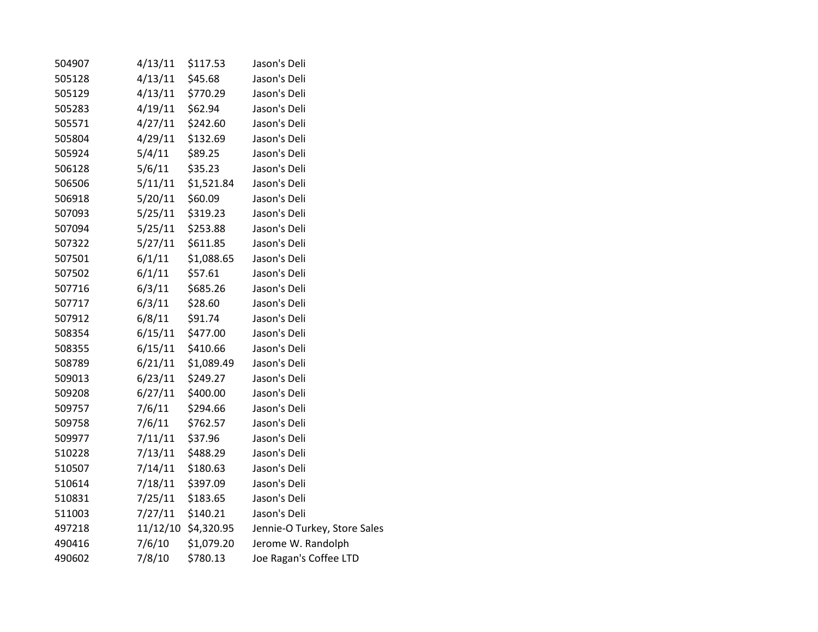| 504907 | 4/13/11 | \$117.53            | Jason's Deli                 |
|--------|---------|---------------------|------------------------------|
| 505128 | 4/13/11 | \$45.68             | Jason's Deli                 |
| 505129 | 4/13/11 | \$770.29            | Jason's Deli                 |
| 505283 | 4/19/11 | \$62.94             | Jason's Deli                 |
| 505571 | 4/27/11 | \$242.60            | Jason's Deli                 |
| 505804 | 4/29/11 | \$132.69            | Jason's Deli                 |
| 505924 | 5/4/11  | \$89.25             | Jason's Deli                 |
| 506128 | 5/6/11  | \$35.23             | Jason's Deli                 |
| 506506 | 5/11/11 | \$1,521.84          | Jason's Deli                 |
| 506918 | 5/20/11 | \$60.09             | Jason's Deli                 |
| 507093 | 5/25/11 | \$319.23            | Jason's Deli                 |
| 507094 | 5/25/11 | \$253.88            | Jason's Deli                 |
| 507322 | 5/27/11 | \$611.85            | Jason's Deli                 |
| 507501 | 6/1/11  | \$1,088.65          | Jason's Deli                 |
| 507502 | 6/1/11  | \$57.61             | Jason's Deli                 |
| 507716 | 6/3/11  | \$685.26            | Jason's Deli                 |
| 507717 | 6/3/11  | \$28.60             | Jason's Deli                 |
| 507912 | 6/8/11  | \$91.74             | Jason's Deli                 |
| 508354 | 6/15/11 | \$477.00            | Jason's Deli                 |
| 508355 | 6/15/11 | \$410.66            | Jason's Deli                 |
| 508789 | 6/21/11 | \$1,089.49          | Jason's Deli                 |
| 509013 | 6/23/11 | \$249.27            | Jason's Deli                 |
| 509208 | 6/27/11 | \$400.00            | Jason's Deli                 |
| 509757 | 7/6/11  | \$294.66            | Jason's Deli                 |
| 509758 | 7/6/11  | \$762.57            | Jason's Deli                 |
| 509977 | 7/11/11 | \$37.96             | Jason's Deli                 |
| 510228 | 7/13/11 | \$488.29            | Jason's Deli                 |
| 510507 | 7/14/11 | \$180.63            | Jason's Deli                 |
| 510614 | 7/18/11 | \$397.09            | Jason's Deli                 |
| 510831 | 7/25/11 | \$183.65            | Jason's Deli                 |
| 511003 | 7/27/11 | \$140.21            | Jason's Deli                 |
| 497218 |         | 11/12/10 \$4,320.95 | Jennie-O Turkey, Store Sales |
| 490416 | 7/6/10  | \$1,079.20          | Jerome W. Randolph           |
| 490602 | 7/8/10  | \$780.13            | Joe Ragan's Coffee LTD       |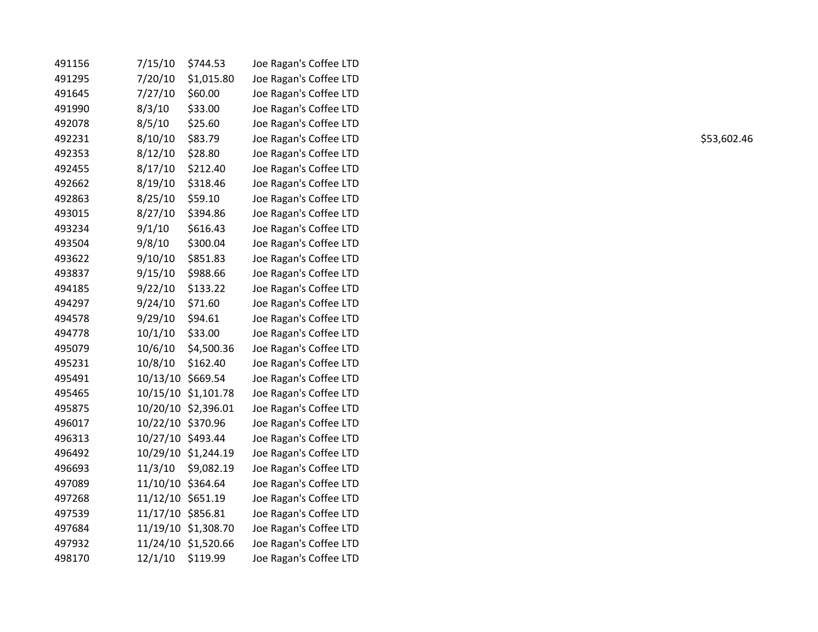| 7/15/10 | \$744.53   | Joe Ragan's Coffee LTD                                                                                                                                                                                                                                              |
|---------|------------|---------------------------------------------------------------------------------------------------------------------------------------------------------------------------------------------------------------------------------------------------------------------|
| 7/20/10 | \$1,015.80 | Joe Ragan's Coffee LTD                                                                                                                                                                                                                                              |
| 7/27/10 | \$60.00    | Joe Ragan's Coffee LTD                                                                                                                                                                                                                                              |
| 8/3/10  | \$33.00    | Joe Ragan's Coffee LTD                                                                                                                                                                                                                                              |
| 8/5/10  | \$25.60    | Joe Ragan's Coffee LTD                                                                                                                                                                                                                                              |
| 8/10/10 | \$83.79    | Joe Ragan's Coffee LTD                                                                                                                                                                                                                                              |
| 8/12/10 | \$28.80    | Joe Ragan's Coffee LTD                                                                                                                                                                                                                                              |
| 8/17/10 | \$212.40   | Joe Ragan's Coffee LTD                                                                                                                                                                                                                                              |
| 8/19/10 | \$318.46   | Joe Ragan's Coffee LTD                                                                                                                                                                                                                                              |
| 8/25/10 | \$59.10    | Joe Ragan's Coffee LTD                                                                                                                                                                                                                                              |
| 8/27/10 | \$394.86   | Joe Ragan's Coffee LTD                                                                                                                                                                                                                                              |
| 9/1/10  | \$616.43   | Joe Ragan's Coffee LTD                                                                                                                                                                                                                                              |
| 9/8/10  | \$300.04   | Joe Ragan's Coffee LTD                                                                                                                                                                                                                                              |
| 9/10/10 | \$851.83   | Joe Ragan's Coffee LTD                                                                                                                                                                                                                                              |
| 9/15/10 | \$988.66   | Joe Ragan's Coffee LTD                                                                                                                                                                                                                                              |
| 9/22/10 | \$133.22   | Joe Ragan's Coffee LTD                                                                                                                                                                                                                                              |
| 9/24/10 | \$71.60    | Joe Ragan's Coffee LTD                                                                                                                                                                                                                                              |
| 9/29/10 | \$94.61    | Joe Ragan's Coffee LTD                                                                                                                                                                                                                                              |
| 10/1/10 | \$33.00    | Joe Ragan's Coffee LTD                                                                                                                                                                                                                                              |
| 10/6/10 | \$4,500.36 | Joe Ragan's Coffee LTD                                                                                                                                                                                                                                              |
| 10/8/10 | \$162.40   | Joe Ragan's Coffee LTD                                                                                                                                                                                                                                              |
|         |            | Joe Ragan's Coffee LTD                                                                                                                                                                                                                                              |
|         |            | Joe Ragan's Coffee LTD                                                                                                                                                                                                                                              |
|         |            | Joe Ragan's Coffee LTD                                                                                                                                                                                                                                              |
|         |            | Joe Ragan's Coffee LTD                                                                                                                                                                                                                                              |
|         |            | Joe Ragan's Coffee LTD                                                                                                                                                                                                                                              |
|         |            | Joe Ragan's Coffee LTD                                                                                                                                                                                                                                              |
|         |            | Joe Ragan's Coffee LTD                                                                                                                                                                                                                                              |
|         |            | Joe Ragan's Coffee LTD                                                                                                                                                                                                                                              |
|         |            | Joe Ragan's Coffee LTD                                                                                                                                                                                                                                              |
|         |            | Joe Ragan's Coffee LTD                                                                                                                                                                                                                                              |
|         |            | Joe Ragan's Coffee LTD                                                                                                                                                                                                                                              |
|         |            | Joe Ragan's Coffee LTD                                                                                                                                                                                                                                              |
| 12/1/10 | \$119.99   | Joe Ragan's Coffee LTD                                                                                                                                                                                                                                              |
|         |            | 10/13/10 \$669.54<br>10/15/10 \$1,101.78<br>10/20/10 \$2,396.01<br>10/22/10 \$370.96<br>10/27/10 \$493.44<br>10/29/10 \$1,244.19<br>11/3/10 \$9,082.19<br>11/10/10 \$364.64<br>11/12/10 \$651.19<br>11/17/10 \$856.81<br>11/19/10 \$1,308.70<br>11/24/10 \$1,520.66 |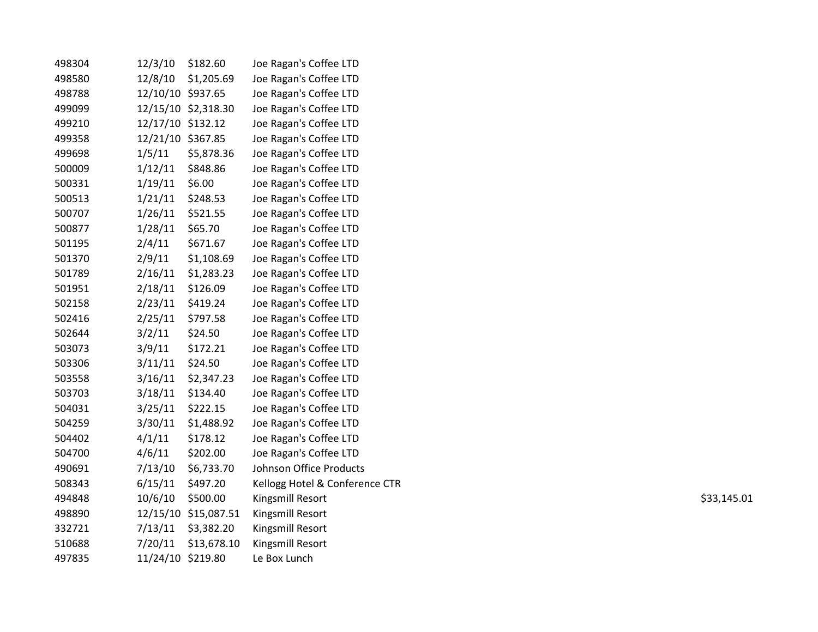| 498304 | 12/3/10           | \$182.60             | Joe Ragan's Coffee LTD         |             |
|--------|-------------------|----------------------|--------------------------------|-------------|
| 498580 | 12/8/10           | \$1,205.69           | Joe Ragan's Coffee LTD         |             |
| 498788 | 12/10/10 \$937.65 |                      | Joe Ragan's Coffee LTD         |             |
| 499099 |                   | 12/15/10 \$2,318.30  | Joe Ragan's Coffee LTD         |             |
| 499210 | 12/17/10 \$132.12 |                      | Joe Ragan's Coffee LTD         |             |
| 499358 | 12/21/10 \$367.85 |                      | Joe Ragan's Coffee LTD         |             |
| 499698 | 1/5/11            | \$5,878.36           | Joe Ragan's Coffee LTD         |             |
| 500009 | 1/12/11           | \$848.86             | Joe Ragan's Coffee LTD         |             |
| 500331 | 1/19/11           | \$6.00               | Joe Ragan's Coffee LTD         |             |
| 500513 | 1/21/11           | \$248.53             | Joe Ragan's Coffee LTD         |             |
| 500707 | 1/26/11           | \$521.55             | Joe Ragan's Coffee LTD         |             |
| 500877 | 1/28/11           | \$65.70              | Joe Ragan's Coffee LTD         |             |
| 501195 | 2/4/11            | \$671.67             | Joe Ragan's Coffee LTD         |             |
| 501370 | 2/9/11            | \$1,108.69           | Joe Ragan's Coffee LTD         |             |
| 501789 | 2/16/11           | \$1,283.23           | Joe Ragan's Coffee LTD         |             |
| 501951 | 2/18/11           | \$126.09             | Joe Ragan's Coffee LTD         |             |
| 502158 | 2/23/11           | \$419.24             | Joe Ragan's Coffee LTD         |             |
| 502416 | 2/25/11           | \$797.58             | Joe Ragan's Coffee LTD         |             |
| 502644 | 3/2/11            | \$24.50              | Joe Ragan's Coffee LTD         |             |
| 503073 | 3/9/11            | \$172.21             | Joe Ragan's Coffee LTD         |             |
| 503306 | 3/11/11           | \$24.50              | Joe Ragan's Coffee LTD         |             |
| 503558 | 3/16/11           | \$2,347.23           | Joe Ragan's Coffee LTD         |             |
| 503703 | 3/18/11           | \$134.40             | Joe Ragan's Coffee LTD         |             |
| 504031 | 3/25/11           | \$222.15             | Joe Ragan's Coffee LTD         |             |
| 504259 | 3/30/11           | \$1,488.92           | Joe Ragan's Coffee LTD         |             |
| 504402 | 4/1/11            | \$178.12             | Joe Ragan's Coffee LTD         |             |
| 504700 | 4/6/11            | \$202.00             | Joe Ragan's Coffee LTD         |             |
| 490691 | 7/13/10           | \$6,733.70           | Johnson Office Products        |             |
| 508343 | 6/15/11           | \$497.20             | Kellogg Hotel & Conference CTR |             |
| 494848 | 10/6/10           | \$500.00             | Kingsmill Resort               | \$33,145.01 |
| 498890 |                   | 12/15/10 \$15,087.51 | Kingsmill Resort               |             |
| 332721 | 7/13/11           | \$3,382.20           | Kingsmill Resort               |             |
| 510688 | 7/20/11           | \$13,678.10          | Kingsmill Resort               |             |
| 497835 | 11/24/10 \$219.80 |                      | Le Box Lunch                   |             |
|        |                   |                      |                                |             |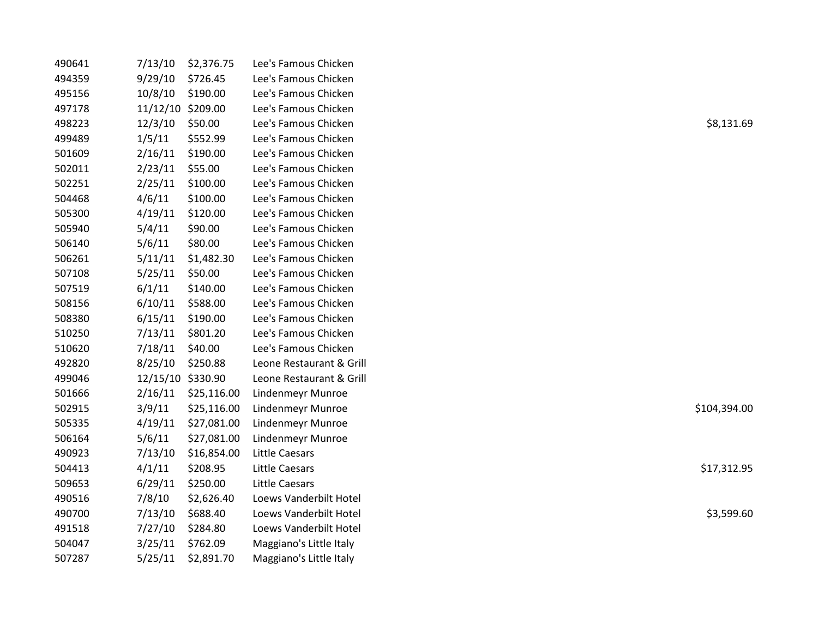| 490641 | 7/13/10           | \$2,376.75  | Lee's Famous Chicken     |              |
|--------|-------------------|-------------|--------------------------|--------------|
| 494359 | 9/29/10           | \$726.45    | Lee's Famous Chicken     |              |
| 495156 | 10/8/10           | \$190.00    | Lee's Famous Chicken     |              |
| 497178 | 11/12/10 \$209.00 |             | Lee's Famous Chicken     |              |
| 498223 | 12/3/10           | \$50.00     | Lee's Famous Chicken     | \$8,131.69   |
| 499489 | 1/5/11            | \$552.99    | Lee's Famous Chicken     |              |
| 501609 | 2/16/11           | \$190.00    | Lee's Famous Chicken     |              |
| 502011 | 2/23/11           | \$55.00     | Lee's Famous Chicken     |              |
| 502251 | 2/25/11           | \$100.00    | Lee's Famous Chicken     |              |
| 504468 | 4/6/11            | \$100.00    | Lee's Famous Chicken     |              |
| 505300 | 4/19/11           | \$120.00    | Lee's Famous Chicken     |              |
| 505940 | 5/4/11            | \$90.00     | Lee's Famous Chicken     |              |
| 506140 | 5/6/11            | \$80.00     | Lee's Famous Chicken     |              |
| 506261 | 5/11/11           | \$1,482.30  | Lee's Famous Chicken     |              |
| 507108 | 5/25/11           | \$50.00     | Lee's Famous Chicken     |              |
| 507519 | 6/1/11            | \$140.00    | Lee's Famous Chicken     |              |
| 508156 | 6/10/11           | \$588.00    | Lee's Famous Chicken     |              |
| 508380 | 6/15/11           | \$190.00    | Lee's Famous Chicken     |              |
| 510250 | 7/13/11           | \$801.20    | Lee's Famous Chicken     |              |
| 510620 | 7/18/11           | \$40.00     | Lee's Famous Chicken     |              |
| 492820 | 8/25/10           | \$250.88    | Leone Restaurant & Grill |              |
| 499046 | 12/15/10 \$330.90 |             | Leone Restaurant & Grill |              |
| 501666 | 2/16/11           | \$25,116.00 | Lindenmeyr Munroe        |              |
| 502915 | 3/9/11            | \$25,116.00 | <b>Lindenmeyr Munroe</b> | \$104,394.00 |
| 505335 | 4/19/11           | \$27,081.00 | Lindenmeyr Munroe        |              |
| 506164 | 5/6/11            | \$27,081.00 | Lindenmeyr Munroe        |              |
| 490923 | 7/13/10           | \$16,854.00 | Little Caesars           |              |
| 504413 | 4/1/11            | \$208.95    | Little Caesars           | \$17,312.95  |
| 509653 | 6/29/11           | \$250.00    | Little Caesars           |              |
| 490516 | 7/8/10            | \$2,626.40  | Loews Vanderbilt Hotel   |              |
| 490700 | 7/13/10           | \$688.40    | Loews Vanderbilt Hotel   | \$3,599.60   |
| 491518 | 7/27/10           | \$284.80    | Loews Vanderbilt Hotel   |              |
| 504047 | 3/25/11           | \$762.09    | Maggiano's Little Italy  |              |
| 507287 | 5/25/11           | \$2,891.70  | Maggiano's Little Italy  |              |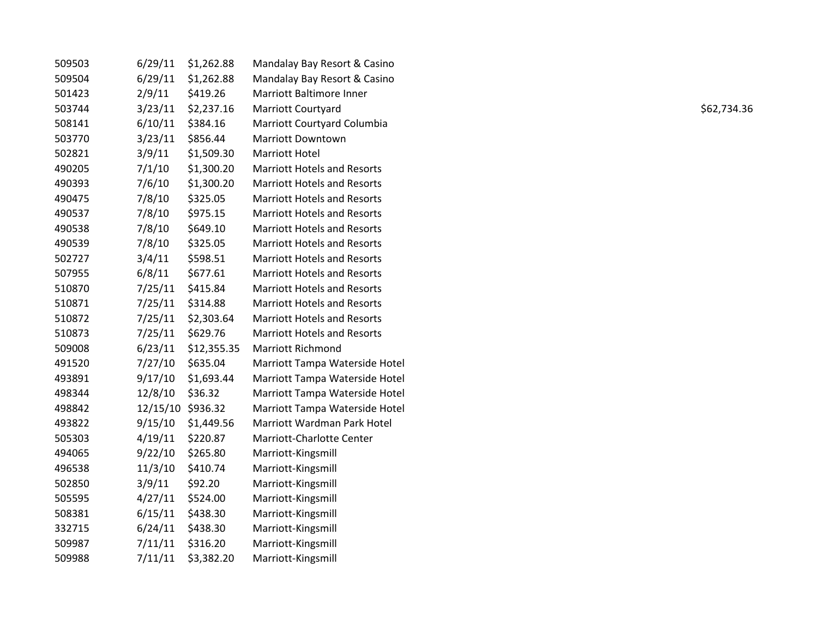| 509503 | 6/29/11           | \$1,262.88  | Mandalay Bay Resort & Casino       |             |
|--------|-------------------|-------------|------------------------------------|-------------|
| 509504 | 6/29/11           | \$1,262.88  | Mandalay Bay Resort & Casino       |             |
| 501423 | 2/9/11            | \$419.26    | Marriott Baltimore Inner           |             |
| 503744 | 3/23/11           | \$2,237.16  | Marriott Courtyard                 | \$62,734.36 |
| 508141 | 6/10/11           | \$384.16    | Marriott Courtyard Columbia        |             |
| 503770 | 3/23/11           | \$856.44    | <b>Marriott Downtown</b>           |             |
| 502821 | 3/9/11            | \$1,509.30  | <b>Marriott Hotel</b>              |             |
| 490205 | 7/1/10            | \$1,300.20  | <b>Marriott Hotels and Resorts</b> |             |
| 490393 | 7/6/10            | \$1,300.20  | <b>Marriott Hotels and Resorts</b> |             |
| 490475 | 7/8/10            | \$325.05    | <b>Marriott Hotels and Resorts</b> |             |
| 490537 | 7/8/10            | \$975.15    | <b>Marriott Hotels and Resorts</b> |             |
| 490538 | 7/8/10            | \$649.10    | <b>Marriott Hotels and Resorts</b> |             |
| 490539 | 7/8/10            | \$325.05    | <b>Marriott Hotels and Resorts</b> |             |
| 502727 | 3/4/11            | \$598.51    | <b>Marriott Hotels and Resorts</b> |             |
| 507955 | 6/8/11            | \$677.61    | <b>Marriott Hotels and Resorts</b> |             |
| 510870 | 7/25/11           | \$415.84    | <b>Marriott Hotels and Resorts</b> |             |
| 510871 | 7/25/11           | \$314.88    | <b>Marriott Hotels and Resorts</b> |             |
| 510872 | 7/25/11           | \$2,303.64  | <b>Marriott Hotels and Resorts</b> |             |
| 510873 | 7/25/11           | \$629.76    | <b>Marriott Hotels and Resorts</b> |             |
| 509008 | 6/23/11           | \$12,355.35 | <b>Marriott Richmond</b>           |             |
| 491520 | 7/27/10           | \$635.04    | Marriott Tampa Waterside Hotel     |             |
| 493891 | 9/17/10           | \$1,693.44  | Marriott Tampa Waterside Hotel     |             |
| 498344 | 12/8/10           | \$36.32     | Marriott Tampa Waterside Hotel     |             |
| 498842 | 12/15/10 \$936.32 |             | Marriott Tampa Waterside Hotel     |             |
| 493822 | 9/15/10           | \$1,449.56  | Marriott Wardman Park Hotel        |             |
| 505303 | 4/19/11           | \$220.87    | Marriott-Charlotte Center          |             |
| 494065 | 9/22/10           | \$265.80    | Marriott-Kingsmill                 |             |
| 496538 | 11/3/10           | \$410.74    | Marriott-Kingsmill                 |             |
| 502850 | 3/9/11            | \$92.20     | Marriott-Kingsmill                 |             |
| 505595 | 4/27/11           | \$524.00    | Marriott-Kingsmill                 |             |
| 508381 | 6/15/11           | \$438.30    | Marriott-Kingsmill                 |             |
| 332715 | 6/24/11           | \$438.30    | Marriott-Kingsmill                 |             |
| 509987 | 7/11/11           | \$316.20    | Marriott-Kingsmill                 |             |
| 509988 | 7/11/11           | \$3,382.20  | Marriott-Kingsmill                 |             |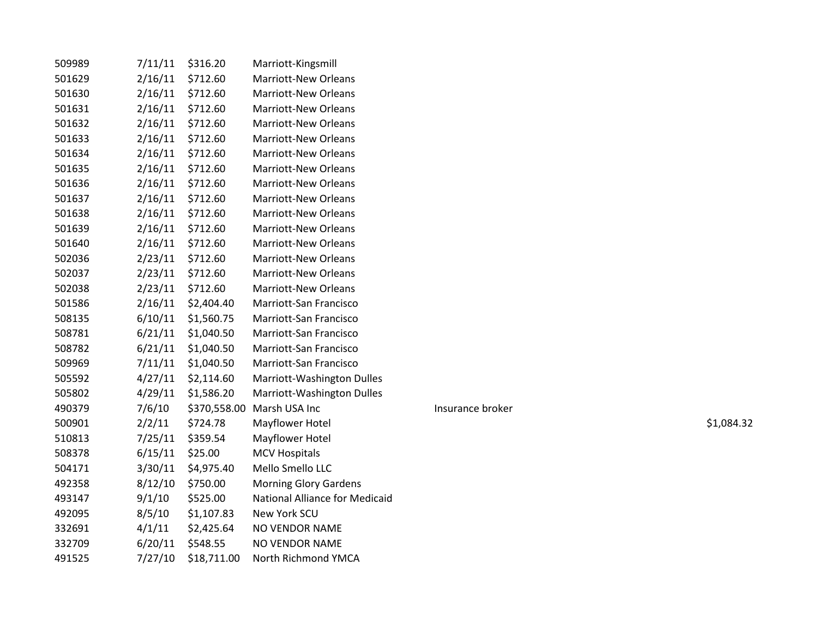| 509989 | 7/11/11 | \$316.20     | Marriott-Kingsmill             |                  |            |
|--------|---------|--------------|--------------------------------|------------------|------------|
| 501629 | 2/16/11 | \$712.60     | <b>Marriott-New Orleans</b>    |                  |            |
| 501630 | 2/16/11 | \$712.60     | <b>Marriott-New Orleans</b>    |                  |            |
| 501631 | 2/16/11 | \$712.60     | <b>Marriott-New Orleans</b>    |                  |            |
| 501632 | 2/16/11 | \$712.60     | <b>Marriott-New Orleans</b>    |                  |            |
| 501633 | 2/16/11 | \$712.60     | Marriott-New Orleans           |                  |            |
| 501634 | 2/16/11 | \$712.60     | <b>Marriott-New Orleans</b>    |                  |            |
| 501635 | 2/16/11 | \$712.60     | <b>Marriott-New Orleans</b>    |                  |            |
| 501636 | 2/16/11 | \$712.60     | <b>Marriott-New Orleans</b>    |                  |            |
| 501637 | 2/16/11 | \$712.60     | <b>Marriott-New Orleans</b>    |                  |            |
| 501638 | 2/16/11 | \$712.60     | Marriott-New Orleans           |                  |            |
| 501639 | 2/16/11 | \$712.60     | <b>Marriott-New Orleans</b>    |                  |            |
| 501640 | 2/16/11 | \$712.60     | <b>Marriott-New Orleans</b>    |                  |            |
| 502036 | 2/23/11 | \$712.60     | Marriott-New Orleans           |                  |            |
| 502037 | 2/23/11 | \$712.60     | <b>Marriott-New Orleans</b>    |                  |            |
| 502038 | 2/23/11 | \$712.60     | Marriott-New Orleans           |                  |            |
| 501586 | 2/16/11 | \$2,404.40   | Marriott-San Francisco         |                  |            |
| 508135 | 6/10/11 | \$1,560.75   | Marriott-San Francisco         |                  |            |
| 508781 | 6/21/11 | \$1,040.50   | Marriott-San Francisco         |                  |            |
| 508782 | 6/21/11 | \$1,040.50   | Marriott-San Francisco         |                  |            |
| 509969 | 7/11/11 | \$1,040.50   | Marriott-San Francisco         |                  |            |
| 505592 | 4/27/11 | \$2,114.60   | Marriott-Washington Dulles     |                  |            |
| 505802 | 4/29/11 | \$1,586.20   | Marriott-Washington Dulles     |                  |            |
| 490379 | 7/6/10  | \$370,558.00 | Marsh USA Inc                  | Insurance broker |            |
| 500901 | 2/2/11  | \$724.78     | Mayflower Hotel                |                  | \$1,084.32 |
| 510813 | 7/25/11 | \$359.54     | Mayflower Hotel                |                  |            |
| 508378 | 6/15/11 | \$25.00      | <b>MCV Hospitals</b>           |                  |            |
| 504171 | 3/30/11 | \$4,975.40   | Mello Smello LLC               |                  |            |
| 492358 | 8/12/10 | \$750.00     | <b>Morning Glory Gardens</b>   |                  |            |
| 493147 | 9/1/10  | \$525.00     | National Alliance for Medicaid |                  |            |
| 492095 | 8/5/10  | \$1,107.83   | New York SCU                   |                  |            |
| 332691 | 4/1/11  | \$2,425.64   | <b>NO VENDOR NAME</b>          |                  |            |
| 332709 | 6/20/11 | \$548.55     | NO VENDOR NAME                 |                  |            |
| 491525 | 7/27/10 | \$18,711.00  | North Richmond YMCA            |                  |            |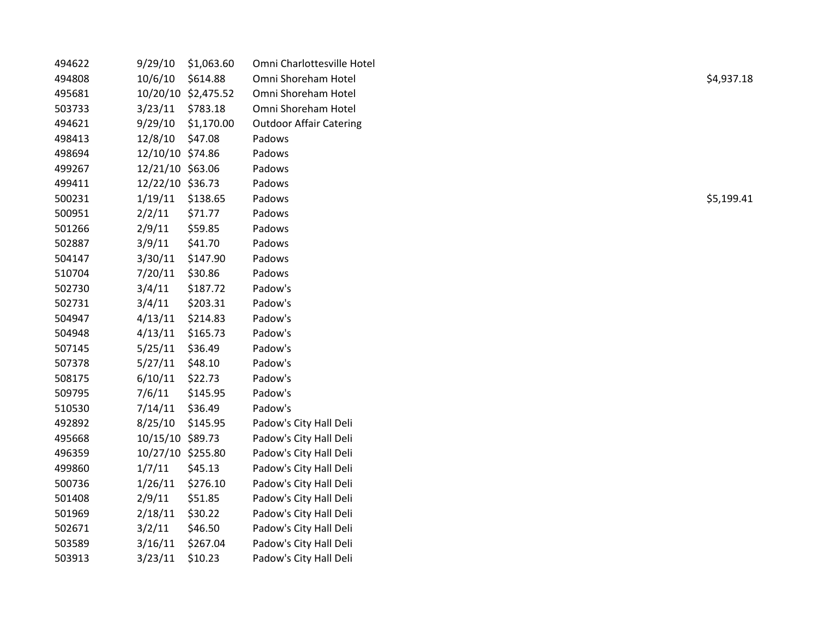| 494622 | 9/29/10           | \$1,063.60          | Omni Charlottesville Hotel     |            |
|--------|-------------------|---------------------|--------------------------------|------------|
| 494808 | 10/6/10           | \$614.88            | Omni Shoreham Hotel            | \$4,937.18 |
| 495681 |                   | 10/20/10 \$2,475.52 | Omni Shoreham Hotel            |            |
| 503733 | 3/23/11           | \$783.18            | Omni Shoreham Hotel            |            |
| 494621 | 9/29/10           | \$1,170.00          | <b>Outdoor Affair Catering</b> |            |
| 498413 | 12/8/10           | \$47.08             | Padows                         |            |
| 498694 | 12/10/10 \$74.86  |                     | Padows                         |            |
| 499267 | 12/21/10 \$63.06  |                     | Padows                         |            |
| 499411 | 12/22/10 \$36.73  |                     | Padows                         |            |
| 500231 | 1/19/11           | \$138.65            | Padows                         | \$5,199.41 |
| 500951 | 2/2/11            | \$71.77             | Padows                         |            |
| 501266 | 2/9/11            | \$59.85             | Padows                         |            |
| 502887 | 3/9/11            | \$41.70             | Padows                         |            |
| 504147 | 3/30/11           | \$147.90            | Padows                         |            |
| 510704 | 7/20/11           | \$30.86             | Padows                         |            |
| 502730 | 3/4/11            | \$187.72            | Padow's                        |            |
| 502731 | 3/4/11            | \$203.31            | Padow's                        |            |
| 504947 | 4/13/11           | \$214.83            | Padow's                        |            |
| 504948 | 4/13/11           | \$165.73            | Padow's                        |            |
| 507145 | 5/25/11           | \$36.49             | Padow's                        |            |
| 507378 | 5/27/11           | \$48.10             | Padow's                        |            |
| 508175 | 6/10/11           | \$22.73             | Padow's                        |            |
| 509795 | 7/6/11            | \$145.95            | Padow's                        |            |
| 510530 | 7/14/11           | \$36.49             | Padow's                        |            |
| 492892 | 8/25/10           | \$145.95            | Padow's City Hall Deli         |            |
| 495668 | 10/15/10 \$89.73  |                     | Padow's City Hall Deli         |            |
| 496359 | 10/27/10 \$255.80 |                     | Padow's City Hall Deli         |            |
| 499860 | 1/7/11            | \$45.13             | Padow's City Hall Deli         |            |
| 500736 | 1/26/11           | \$276.10            | Padow's City Hall Deli         |            |
| 501408 | 2/9/11            | \$51.85             | Padow's City Hall Deli         |            |
| 501969 | 2/18/11           | \$30.22             | Padow's City Hall Deli         |            |
| 502671 | 3/2/11            | \$46.50             | Padow's City Hall Deli         |            |
| 503589 | 3/16/11           | \$267.04            | Padow's City Hall Deli         |            |
| 503913 | 3/23/11           | \$10.23             | Padow's City Hall Deli         |            |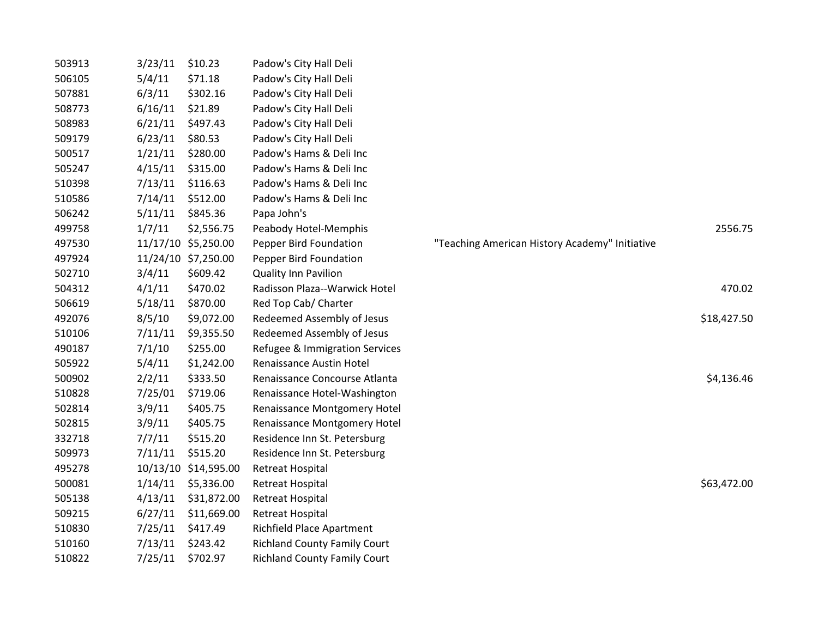| 503913 | 3/23/11 | \$10.23              | Padow's City Hall Deli              |                                                |             |
|--------|---------|----------------------|-------------------------------------|------------------------------------------------|-------------|
| 506105 | 5/4/11  | \$71.18              | Padow's City Hall Deli              |                                                |             |
| 507881 | 6/3/11  | \$302.16             | Padow's City Hall Deli              |                                                |             |
| 508773 | 6/16/11 | \$21.89              | Padow's City Hall Deli              |                                                |             |
| 508983 | 6/21/11 | \$497.43             | Padow's City Hall Deli              |                                                |             |
| 509179 | 6/23/11 | \$80.53              | Padow's City Hall Deli              |                                                |             |
| 500517 | 1/21/11 | \$280.00             | Padow's Hams & Deli Inc             |                                                |             |
| 505247 | 4/15/11 | \$315.00             | Padow's Hams & Deli Inc             |                                                |             |
| 510398 | 7/13/11 | \$116.63             | Padow's Hams & Deli Inc             |                                                |             |
| 510586 | 7/14/11 | \$512.00             | Padow's Hams & Deli Inc             |                                                |             |
| 506242 | 5/11/11 | \$845.36             | Papa John's                         |                                                |             |
| 499758 | 1/7/11  | \$2,556.75           | Peabody Hotel-Memphis               |                                                | 2556.75     |
| 497530 |         | 11/17/10 \$5,250.00  | Pepper Bird Foundation              | "Teaching American History Academy" Initiative |             |
| 497924 |         | 11/24/10 \$7,250.00  | Pepper Bird Foundation              |                                                |             |
| 502710 | 3/4/11  | \$609.42             | <b>Quality Inn Pavilion</b>         |                                                |             |
| 504312 | 4/1/11  | \$470.02             | Radisson Plaza--Warwick Hotel       |                                                | 470.02      |
| 506619 | 5/18/11 | \$870.00             | Red Top Cab/ Charter                |                                                |             |
| 492076 | 8/5/10  | \$9,072.00           | Redeemed Assembly of Jesus          |                                                | \$18,427.50 |
| 510106 | 7/11/11 | \$9,355.50           | Redeemed Assembly of Jesus          |                                                |             |
| 490187 | 7/1/10  | \$255.00             | Refugee & Immigration Services      |                                                |             |
| 505922 | 5/4/11  | \$1,242.00           | Renaissance Austin Hotel            |                                                |             |
| 500902 | 2/2/11  | \$333.50             | Renaissance Concourse Atlanta       |                                                | \$4,136.46  |
| 510828 | 7/25/01 | \$719.06             | Renaissance Hotel-Washington        |                                                |             |
| 502814 | 3/9/11  | \$405.75             | Renaissance Montgomery Hotel        |                                                |             |
| 502815 | 3/9/11  | \$405.75             | Renaissance Montgomery Hotel        |                                                |             |
| 332718 | 7/7/11  | \$515.20             | Residence Inn St. Petersburg        |                                                |             |
| 509973 | 7/11/11 | \$515.20             | Residence Inn St. Petersburg        |                                                |             |
| 495278 |         | 10/13/10 \$14,595.00 | <b>Retreat Hospital</b>             |                                                |             |
| 500081 |         | 1/14/11 \$5,336.00   | <b>Retreat Hospital</b>             |                                                | \$63,472.00 |
| 505138 | 4/13/11 | \$31,872.00          | <b>Retreat Hospital</b>             |                                                |             |
| 509215 | 6/27/11 | \$11,669.00          | <b>Retreat Hospital</b>             |                                                |             |
| 510830 | 7/25/11 | \$417.49             | <b>Richfield Place Apartment</b>    |                                                |             |
| 510160 | 7/13/11 | \$243.42             | <b>Richland County Family Court</b> |                                                |             |
| 510822 | 7/25/11 | \$702.97             | <b>Richland County Family Court</b> |                                                |             |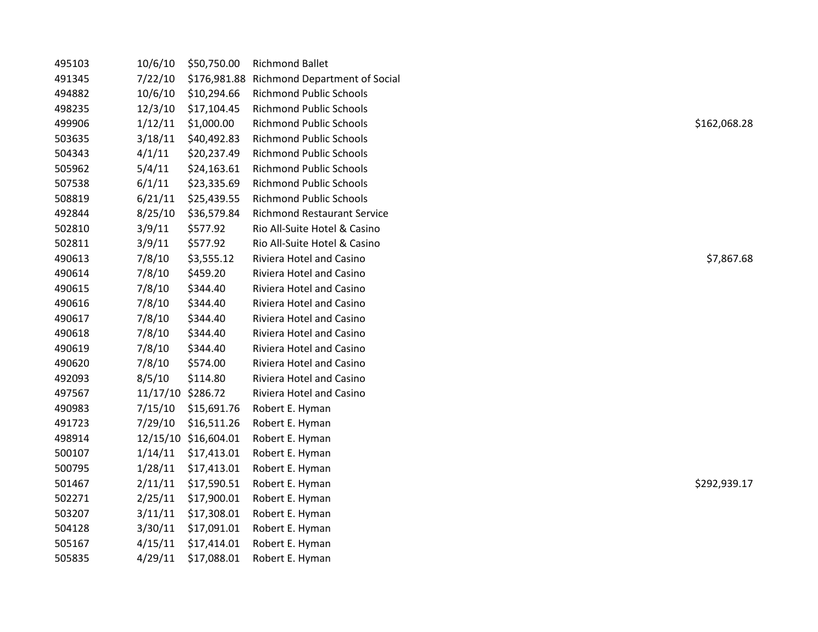| 495103 | 10/6/10           | \$50,750.00          | <b>Richmond Ballet</b>               |              |
|--------|-------------------|----------------------|--------------------------------------|--------------|
| 491345 | 7/22/10           | \$176,981.88         | <b>Richmond Department of Social</b> |              |
| 494882 | 10/6/10           | \$10,294.66          | <b>Richmond Public Schools</b>       |              |
| 498235 | 12/3/10           | \$17,104.45          | <b>Richmond Public Schools</b>       |              |
| 499906 | 1/12/11           | \$1,000.00           | <b>Richmond Public Schools</b>       | \$162,068.28 |
| 503635 | 3/18/11           | \$40,492.83          | <b>Richmond Public Schools</b>       |              |
| 504343 | 4/1/11            | \$20,237.49          | <b>Richmond Public Schools</b>       |              |
| 505962 | 5/4/11            | \$24,163.61          | <b>Richmond Public Schools</b>       |              |
| 507538 | 6/1/11            | \$23,335.69          | <b>Richmond Public Schools</b>       |              |
| 508819 | 6/21/11           | \$25,439.55          | <b>Richmond Public Schools</b>       |              |
| 492844 | 8/25/10           | \$36,579.84          | <b>Richmond Restaurant Service</b>   |              |
| 502810 | 3/9/11            | \$577.92             | Rio All-Suite Hotel & Casino         |              |
| 502811 | 3/9/11            | \$577.92             | Rio All-Suite Hotel & Casino         |              |
| 490613 | 7/8/10            | \$3,555.12           | Riviera Hotel and Casino             | \$7,867.68   |
| 490614 | 7/8/10            | \$459.20             | Riviera Hotel and Casino             |              |
| 490615 | 7/8/10            | \$344.40             | Riviera Hotel and Casino             |              |
| 490616 | 7/8/10            | \$344.40             | Riviera Hotel and Casino             |              |
| 490617 | 7/8/10            | \$344.40             | Riviera Hotel and Casino             |              |
| 490618 | 7/8/10            | \$344.40             | Riviera Hotel and Casino             |              |
| 490619 | 7/8/10            | \$344.40             | Riviera Hotel and Casino             |              |
| 490620 | 7/8/10            | \$574.00             | Riviera Hotel and Casino             |              |
| 492093 | 8/5/10            | \$114.80             | Riviera Hotel and Casino             |              |
| 497567 | 11/17/10 \$286.72 |                      | Riviera Hotel and Casino             |              |
| 490983 | 7/15/10           | \$15,691.76          | Robert E. Hyman                      |              |
| 491723 | 7/29/10           | \$16,511.26          | Robert E. Hyman                      |              |
| 498914 |                   | 12/15/10 \$16,604.01 | Robert E. Hyman                      |              |
| 500107 | 1/14/11           | \$17,413.01          | Robert E. Hyman                      |              |
| 500795 | 1/28/11           | \$17,413.01          | Robert E. Hyman                      |              |
| 501467 | 2/11/11           | \$17,590.51          | Robert E. Hyman                      | \$292,939.17 |
| 502271 | 2/25/11           | \$17,900.01          | Robert E. Hyman                      |              |
| 503207 | 3/11/11           | \$17,308.01          | Robert E. Hyman                      |              |
| 504128 | 3/30/11           | \$17,091.01          | Robert E. Hyman                      |              |
| 505167 | 4/15/11           | \$17,414.01          | Robert E. Hyman                      |              |
| 505835 | 4/29/11           | \$17,088.01          | Robert E. Hyman                      |              |
|        |                   |                      |                                      |              |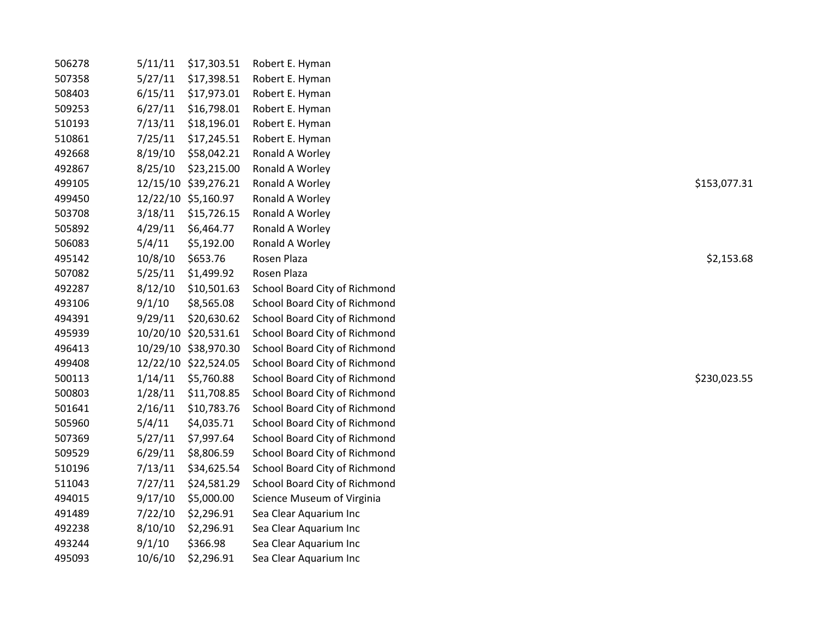| 506278 | 5/11/11 | \$17,303.51          | Robert E. Hyman               |              |
|--------|---------|----------------------|-------------------------------|--------------|
| 507358 | 5/27/11 | \$17,398.51          | Robert E. Hyman               |              |
| 508403 | 6/15/11 | \$17,973.01          | Robert E. Hyman               |              |
| 509253 | 6/27/11 | \$16,798.01          | Robert E. Hyman               |              |
| 510193 | 7/13/11 | \$18,196.01          | Robert E. Hyman               |              |
| 510861 | 7/25/11 | \$17,245.51          | Robert E. Hyman               |              |
| 492668 | 8/19/10 | \$58,042.21          | Ronald A Worley               |              |
| 492867 | 8/25/10 | \$23,215.00          | Ronald A Worley               |              |
| 499105 |         | 12/15/10 \$39,276.21 | Ronald A Worley               | \$153,077.31 |
| 499450 |         | 12/22/10 \$5,160.97  | Ronald A Worley               |              |
| 503708 | 3/18/11 | \$15,726.15          | Ronald A Worley               |              |
| 505892 | 4/29/11 | \$6,464.77           | Ronald A Worley               |              |
| 506083 | 5/4/11  | \$5,192.00           | Ronald A Worley               |              |
| 495142 | 10/8/10 | \$653.76             | Rosen Plaza                   | \$2,153.68   |
| 507082 | 5/25/11 | \$1,499.92           | Rosen Plaza                   |              |
| 492287 | 8/12/10 | \$10,501.63          | School Board City of Richmond |              |
| 493106 | 9/1/10  | \$8,565.08           | School Board City of Richmond |              |
| 494391 | 9/29/11 | \$20,630.62          | School Board City of Richmond |              |
| 495939 |         | 10/20/10 \$20,531.61 | School Board City of Richmond |              |
| 496413 |         | 10/29/10 \$38,970.30 | School Board City of Richmond |              |
| 499408 |         | 12/22/10 \$22,524.05 | School Board City of Richmond |              |
| 500113 | 1/14/11 | \$5,760.88           | School Board City of Richmond | \$230,023.55 |
| 500803 | 1/28/11 | \$11,708.85          | School Board City of Richmond |              |
| 501641 | 2/16/11 | \$10,783.76          | School Board City of Richmond |              |
| 505960 | 5/4/11  | \$4,035.71           | School Board City of Richmond |              |
| 507369 | 5/27/11 | \$7,997.64           | School Board City of Richmond |              |
| 509529 | 6/29/11 | \$8,806.59           | School Board City of Richmond |              |
| 510196 | 7/13/11 | \$34,625.54          | School Board City of Richmond |              |
| 511043 | 7/27/11 | \$24,581.29          | School Board City of Richmond |              |
| 494015 | 9/17/10 | \$5,000.00           | Science Museum of Virginia    |              |
| 491489 | 7/22/10 | \$2,296.91           | Sea Clear Aquarium Inc        |              |
| 492238 | 8/10/10 | \$2,296.91           | Sea Clear Aquarium Inc        |              |
| 493244 | 9/1/10  | \$366.98             | Sea Clear Aquarium Inc        |              |
| 495093 | 10/6/10 | \$2,296.91           | Sea Clear Aquarium Inc        |              |
|        |         |                      |                               |              |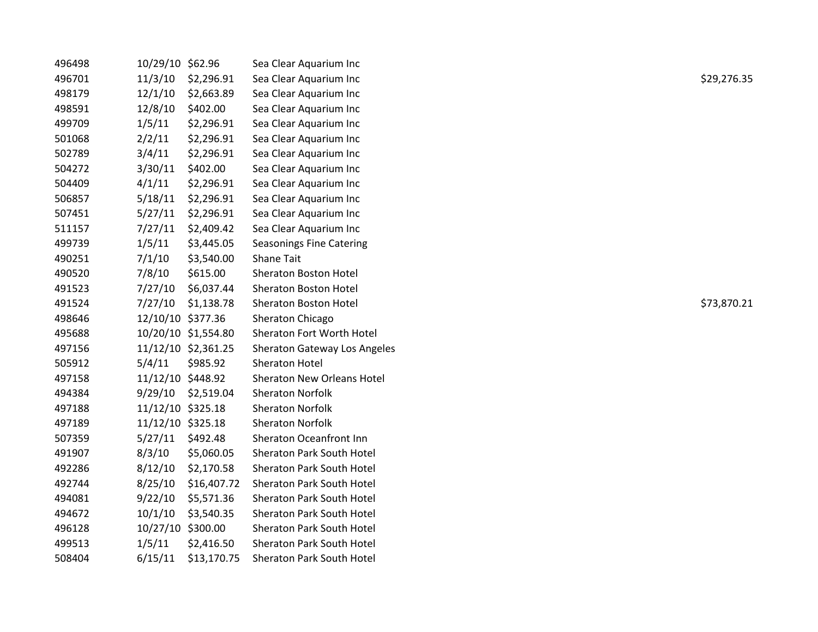| 496498 | 10/29/10 \$62.96  |                     | Sea Clear Aquarium Inc              |             |
|--------|-------------------|---------------------|-------------------------------------|-------------|
| 496701 | 11/3/10           | \$2,296.91          | Sea Clear Aquarium Inc              | \$29,276.35 |
| 498179 | 12/1/10           | \$2,663.89          | Sea Clear Aquarium Inc              |             |
| 498591 | 12/8/10           | \$402.00            | Sea Clear Aquarium Inc              |             |
| 499709 | 1/5/11            | \$2,296.91          | Sea Clear Aquarium Inc              |             |
| 501068 | 2/2/11            | \$2,296.91          | Sea Clear Aquarium Inc              |             |
| 502789 | 3/4/11            | \$2,296.91          | Sea Clear Aquarium Inc              |             |
| 504272 | 3/30/11           | \$402.00            | Sea Clear Aquarium Inc              |             |
| 504409 | 4/1/11            | \$2,296.91          | Sea Clear Aquarium Inc              |             |
| 506857 | 5/18/11           | \$2,296.91          | Sea Clear Aquarium Inc              |             |
| 507451 | 5/27/11           | \$2,296.91          | Sea Clear Aquarium Inc              |             |
| 511157 | 7/27/11           | \$2,409.42          | Sea Clear Aquarium Inc              |             |
| 499739 | 1/5/11            | \$3,445.05          | <b>Seasonings Fine Catering</b>     |             |
| 490251 | 7/1/10            | \$3,540.00          | <b>Shane Tait</b>                   |             |
| 490520 | 7/8/10            | \$615.00            | Sheraton Boston Hotel               |             |
| 491523 | 7/27/10           | \$6,037.44          | Sheraton Boston Hotel               |             |
| 491524 | 7/27/10           | \$1,138.78          | Sheraton Boston Hotel               | \$73,870.21 |
| 498646 | 12/10/10 \$377.36 |                     | Sheraton Chicago                    |             |
| 495688 |                   | 10/20/10 \$1,554.80 | Sheraton Fort Worth Hotel           |             |
| 497156 |                   | 11/12/10 \$2,361.25 | <b>Sheraton Gateway Los Angeles</b> |             |
| 505912 | 5/4/11            | \$985.92            | <b>Sheraton Hotel</b>               |             |
| 497158 | 11/12/10 \$448.92 |                     | <b>Sheraton New Orleans Hotel</b>   |             |
| 494384 | 9/29/10           | \$2,519.04          | <b>Sheraton Norfolk</b>             |             |
| 497188 | 11/12/10 \$325.18 |                     | <b>Sheraton Norfolk</b>             |             |
| 497189 | 11/12/10 \$325.18 |                     | <b>Sheraton Norfolk</b>             |             |
| 507359 | 5/27/11           | \$492.48            | Sheraton Oceanfront Inn             |             |
| 491907 | 8/3/10            | \$5,060.05          | <b>Sheraton Park South Hotel</b>    |             |
| 492286 | 8/12/10           | \$2,170.58          | Sheraton Park South Hotel           |             |
| 492744 | 8/25/10           | \$16,407.72         | Sheraton Park South Hotel           |             |
| 494081 | 9/22/10           | \$5,571.36          | Sheraton Park South Hotel           |             |
| 494672 | 10/1/10           | \$3,540.35          | Sheraton Park South Hotel           |             |
| 496128 | 10/27/10 \$300.00 |                     | <b>Sheraton Park South Hotel</b>    |             |
| 499513 | 1/5/11            | \$2,416.50          | Sheraton Park South Hotel           |             |
| 508404 | 6/15/11           | \$13,170.75         | Sheraton Park South Hotel           |             |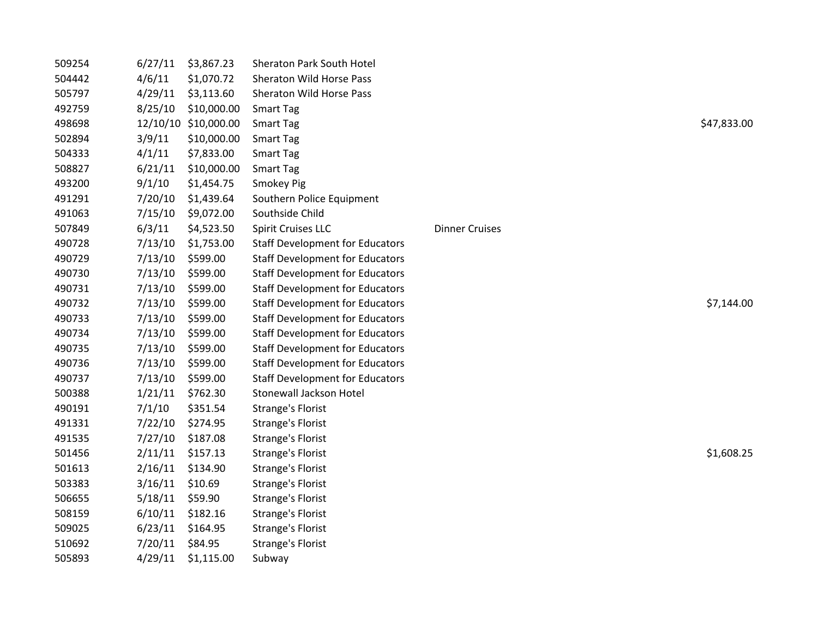| 509254 | 6/27/11 | \$3,867.23           | Sheraton Park South Hotel              |                       |             |
|--------|---------|----------------------|----------------------------------------|-----------------------|-------------|
| 504442 | 4/6/11  | \$1,070.72           | Sheraton Wild Horse Pass               |                       |             |
| 505797 | 4/29/11 | \$3,113.60           | Sheraton Wild Horse Pass               |                       |             |
| 492759 | 8/25/10 | \$10,000.00          | <b>Smart Tag</b>                       |                       |             |
| 498698 |         | 12/10/10 \$10,000.00 | <b>Smart Tag</b>                       |                       | \$47,833.00 |
| 502894 | 3/9/11  | \$10,000.00          | <b>Smart Tag</b>                       |                       |             |
| 504333 | 4/1/11  | \$7,833.00           | <b>Smart Tag</b>                       |                       |             |
| 508827 | 6/21/11 | \$10,000.00          | <b>Smart Tag</b>                       |                       |             |
| 493200 | 9/1/10  | \$1,454.75           | Smokey Pig                             |                       |             |
| 491291 | 7/20/10 | \$1,439.64           | Southern Police Equipment              |                       |             |
| 491063 | 7/15/10 | \$9,072.00           | Southside Child                        |                       |             |
| 507849 | 6/3/11  | \$4,523.50           | Spirit Cruises LLC                     | <b>Dinner Cruises</b> |             |
| 490728 | 7/13/10 | \$1,753.00           | <b>Staff Development for Educators</b> |                       |             |
| 490729 | 7/13/10 | \$599.00             | <b>Staff Development for Educators</b> |                       |             |
| 490730 | 7/13/10 | \$599.00             | <b>Staff Development for Educators</b> |                       |             |
| 490731 | 7/13/10 | \$599.00             | <b>Staff Development for Educators</b> |                       |             |
| 490732 | 7/13/10 | \$599.00             | <b>Staff Development for Educators</b> |                       | \$7,144.00  |
| 490733 | 7/13/10 | \$599.00             | <b>Staff Development for Educators</b> |                       |             |
| 490734 | 7/13/10 | \$599.00             | <b>Staff Development for Educators</b> |                       |             |
| 490735 | 7/13/10 | \$599.00             | <b>Staff Development for Educators</b> |                       |             |
| 490736 | 7/13/10 | \$599.00             | <b>Staff Development for Educators</b> |                       |             |
| 490737 | 7/13/10 | \$599.00             | <b>Staff Development for Educators</b> |                       |             |
| 500388 | 1/21/11 | \$762.30             | <b>Stonewall Jackson Hotel</b>         |                       |             |
| 490191 | 7/1/10  | \$351.54             | <b>Strange's Florist</b>               |                       |             |
| 491331 | 7/22/10 | \$274.95             | <b>Strange's Florist</b>               |                       |             |
| 491535 | 7/27/10 | \$187.08             | <b>Strange's Florist</b>               |                       |             |
| 501456 | 2/11/11 | \$157.13             | <b>Strange's Florist</b>               |                       | \$1,608.25  |
| 501613 | 2/16/11 | \$134.90             | <b>Strange's Florist</b>               |                       |             |
| 503383 | 3/16/11 | \$10.69              | <b>Strange's Florist</b>               |                       |             |
| 506655 | 5/18/11 | \$59.90              | <b>Strange's Florist</b>               |                       |             |
| 508159 | 6/10/11 | \$182.16             | <b>Strange's Florist</b>               |                       |             |
| 509025 | 6/23/11 | \$164.95             | <b>Strange's Florist</b>               |                       |             |
| 510692 | 7/20/11 | \$84.95              | <b>Strange's Florist</b>               |                       |             |
| 505893 | 4/29/11 | \$1,115.00           | Subway                                 |                       |             |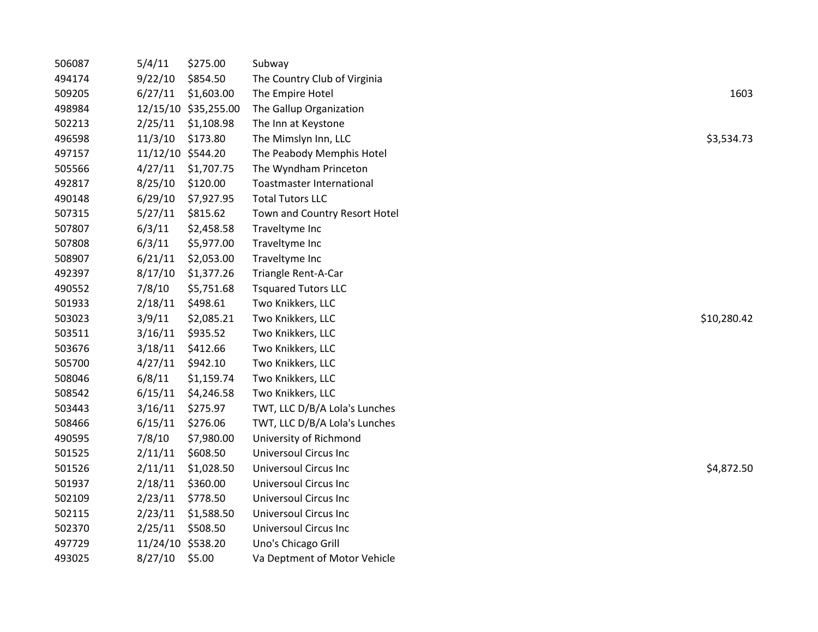| 506087 | 5/4/11            | \$275.00             | Subway                           |             |
|--------|-------------------|----------------------|----------------------------------|-------------|
| 494174 | 9/22/10           | \$854.50             | The Country Club of Virginia     |             |
| 509205 | 6/27/11           | \$1,603.00           | The Empire Hotel                 | 1603        |
| 498984 |                   | 12/15/10 \$35,255.00 | The Gallup Organization          |             |
| 502213 | 2/25/11           | \$1,108.98           | The Inn at Keystone              |             |
| 496598 | 11/3/10           | \$173.80             | The Mimslyn Inn, LLC             | \$3,534.73  |
| 497157 | 11/12/10 \$544.20 |                      | The Peabody Memphis Hotel        |             |
| 505566 | 4/27/11           | \$1,707.75           | The Wyndham Princeton            |             |
| 492817 | 8/25/10           | \$120.00             | <b>Toastmaster International</b> |             |
| 490148 | 6/29/10           | \$7,927.95           | <b>Total Tutors LLC</b>          |             |
| 507315 | 5/27/11           | \$815.62             | Town and Country Resort Hotel    |             |
| 507807 | 6/3/11            | \$2,458.58           | Traveltyme Inc                   |             |
| 507808 | 6/3/11            | \$5,977.00           | Traveltyme Inc                   |             |
| 508907 | 6/21/11           | \$2,053.00           | Traveltyme Inc                   |             |
| 492397 | 8/17/10           | \$1,377.26           | Triangle Rent-A-Car              |             |
| 490552 | 7/8/10            | \$5,751.68           | <b>Tsquared Tutors LLC</b>       |             |
| 501933 | 2/18/11           | \$498.61             | Two Knikkers, LLC                |             |
| 503023 | 3/9/11            | \$2,085.21           | Two Knikkers, LLC                | \$10,280.42 |
| 503511 | 3/16/11           | \$935.52             | Two Knikkers, LLC                |             |
| 503676 | 3/18/11           | \$412.66             | Two Knikkers, LLC                |             |
| 505700 | 4/27/11           | \$942.10             | Two Knikkers, LLC                |             |
| 508046 | 6/8/11            | \$1,159.74           | Two Knikkers, LLC                |             |
| 508542 | 6/15/11           | \$4,246.58           | Two Knikkers, LLC                |             |
| 503443 | 3/16/11           | \$275.97             | TWT, LLC D/B/A Lola's Lunches    |             |
| 508466 | 6/15/11           | \$276.06             | TWT, LLC D/B/A Lola's Lunches    |             |
| 490595 | 7/8/10            | \$7,980.00           | University of Richmond           |             |
| 501525 | 2/11/11           | \$608.50             | <b>Universoul Circus Inc</b>     |             |
| 501526 | 2/11/11           | \$1,028.50           | <b>Universoul Circus Inc</b>     | \$4,872.50  |
| 501937 | 2/18/11           | \$360.00             | <b>Universoul Circus Inc</b>     |             |
| 502109 | 2/23/11           | \$778.50             | <b>Universoul Circus Inc</b>     |             |
| 502115 | 2/23/11           | \$1,588.50           | <b>Universoul Circus Inc</b>     |             |
| 502370 | 2/25/11           | \$508.50             | <b>Universoul Circus Inc</b>     |             |
| 497729 | 11/24/10 \$538.20 |                      | Uno's Chicago Grill              |             |
| 493025 | 8/27/10 \$5.00    |                      | Va Deptment of Motor Vehicle     |             |
|        |                   |                      |                                  |             |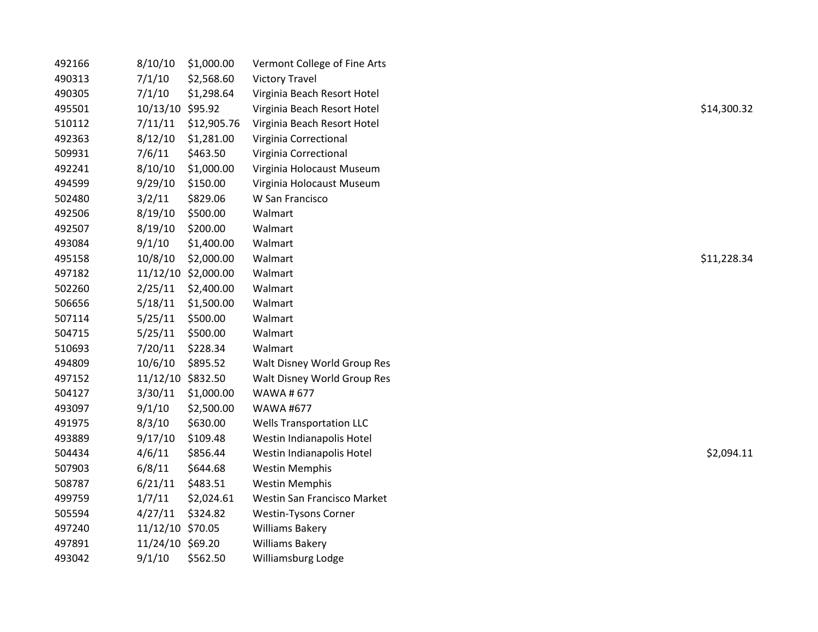| 492166 | 8/10/10           | \$1,000.00          | Vermont College of Fine Arts    |             |
|--------|-------------------|---------------------|---------------------------------|-------------|
| 490313 | 7/1/10            | \$2,568.60          | <b>Victory Travel</b>           |             |
| 490305 | 7/1/10            | \$1,298.64          | Virginia Beach Resort Hotel     |             |
| 495501 | 10/13/10 \$95.92  |                     | Virginia Beach Resort Hotel     | \$14,300.32 |
| 510112 | 7/11/11           | \$12,905.76         | Virginia Beach Resort Hotel     |             |
| 492363 | 8/12/10           | \$1,281.00          | Virginia Correctional           |             |
| 509931 | 7/6/11            | \$463.50            | Virginia Correctional           |             |
| 492241 | 8/10/10           | \$1,000.00          | Virginia Holocaust Museum       |             |
| 494599 | 9/29/10           | \$150.00            | Virginia Holocaust Museum       |             |
| 502480 | 3/2/11            | \$829.06            | W San Francisco                 |             |
| 492506 | 8/19/10           | \$500.00            | Walmart                         |             |
| 492507 | 8/19/10           | \$200.00            | Walmart                         |             |
| 493084 | 9/1/10            | \$1,400.00          | Walmart                         |             |
| 495158 | 10/8/10           | \$2,000.00          | Walmart                         | \$11,228.34 |
| 497182 |                   | 11/12/10 \$2,000.00 | Walmart                         |             |
| 502260 | 2/25/11           | \$2,400.00          | Walmart                         |             |
| 506656 | 5/18/11           | \$1,500.00          | Walmart                         |             |
| 507114 | 5/25/11           | \$500.00            | Walmart                         |             |
| 504715 | 5/25/11           | \$500.00            | Walmart                         |             |
| 510693 | 7/20/11           | \$228.34            | Walmart                         |             |
| 494809 | 10/6/10           | \$895.52            | Walt Disney World Group Res     |             |
| 497152 | 11/12/10 \$832.50 |                     | Walt Disney World Group Res     |             |
| 504127 | 3/30/11           | \$1,000.00          | <b>WAWA#677</b>                 |             |
| 493097 | 9/1/10            | \$2,500.00          | <b>WAWA #677</b>                |             |
| 491975 | 8/3/10            | \$630.00            | <b>Wells Transportation LLC</b> |             |
| 493889 | 9/17/10           | \$109.48            | Westin Indianapolis Hotel       |             |
| 504434 | 4/6/11            | \$856.44            | Westin Indianapolis Hotel       | \$2,094.11  |
| 507903 | 6/8/11            | \$644.68            | <b>Westin Memphis</b>           |             |
| 508787 | 6/21/11           | \$483.51            | <b>Westin Memphis</b>           |             |
| 499759 | 1/7/11            | \$2,024.61          | Westin San Francisco Market     |             |
| 505594 | 4/27/11           | \$324.82            | <b>Westin-Tysons Corner</b>     |             |
| 497240 | 11/12/10 \$70.05  |                     | <b>Williams Bakery</b>          |             |
| 497891 | 11/24/10 \$69.20  |                     | <b>Williams Bakery</b>          |             |
| 493042 | 9/1/10            | \$562.50            | Williamsburg Lodge              |             |